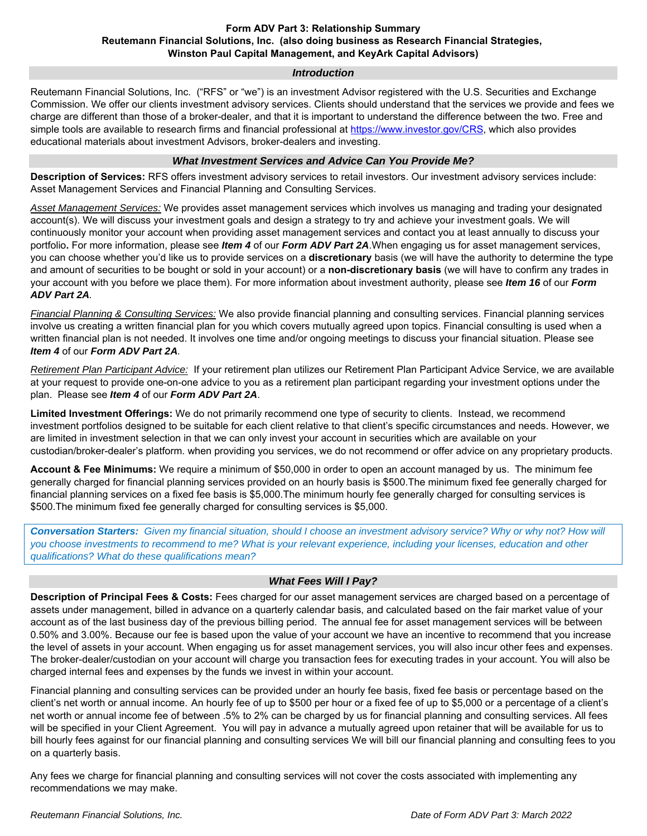#### **Form ADV Part 3: Relationship Summary Reutemann Financial Solutions, Inc. (also doing business as Research Financial Strategies, Winston Paul Capital Management, and KeyArk Capital Advisors)**

#### *Introduction*

Reutemann Financial Solutions, Inc. ("RFS" or "we") is an investment Advisor registered with the U.S. Securities and Exchange Commission. We offer our clients investment advisory services. Clients should understand that the services we provide and fees we charge are different than those of a broker-dealer, and that it is important to understand the difference between the two. Free and simple tools are available to research firms and financial professional at https://www.investor.gov/CRS, which also provides educational materials about investment Advisors, broker-dealers and investing.

#### *What Investment Services and Advice Can You Provide Me?*

**Description of Services:** RFS offers investment advisory services to retail investors. Our investment advisory services include: Asset Management Services and Financial Planning and Consulting Services.

*Asset Management Services:* We provides asset management services which involves us managing and trading your designated account(s). We will discuss your investment goals and design a strategy to try and achieve your investment goals. We will continuously monitor your account when providing asset management services and contact you at least annually to discuss your portfolio**.** For more information, please see *Item 4* of our *Form ADV Part 2A*.When engaging us for asset management services, you can choose whether you'd like us to provide services on a **discretionary** basis (we will have the authority to determine the type and amount of securities to be bought or sold in your account) or a **non-discretionary basis** (we will have to confirm any trades in your account with you before we place them). For more information about investment authority, please see *Item 16* of our *Form ADV Part 2A.*

*Financial Planning & Consulting Services:* We also provide financial planning and consulting services. Financial planning services involve us creating a written financial plan for you which covers mutually agreed upon topics. Financial consulting is used when a written financial plan is not needed. It involves one time and/or ongoing meetings to discuss your financial situation. Please see *Item 4* of our *Form ADV Part 2A.*

*Retirement Plan Participant Advice:* If your retirement plan utilizes our Retirement Plan Participant Advice Service, we are available at your request to provide one-on-one advice to you as a retirement plan participant regarding your investment options under the plan. Please see *Item 4* of our *Form ADV Part 2A*.

**Limited Investment Offerings:** We do not primarily recommend one type of security to clients. Instead, we recommend investment portfolios designed to be suitable for each client relative to that client's specific circumstances and needs. However, we are limited in investment selection in that we can only invest your account in securities which are available on your custodian/broker-dealer's platform. when providing you services, we do not recommend or offer advice on any proprietary products.

**Account & Fee Minimums:** We require a minimum of \$50,000 in order to open an account managed by us. The minimum fee generally charged for financial planning services provided on an hourly basis is \$500.The minimum fixed fee generally charged for financial planning services on a fixed fee basis is \$5,000.The minimum hourly fee generally charged for consulting services is \$500.The minimum fixed fee generally charged for consulting services is \$5,000.

*Conversation Starters: Given my financial situation, should I choose an investment advisory service? Why or why not? How will you choose investments to recommend to me? What is your relevant experience, including your licenses, education and other qualifications? What do these qualifications mean?* 

#### *What Fees Will I Pay?*

**Description of Principal Fees & Costs:** Fees charged for our asset management services are charged based on a percentage of assets under management, billed in advance on a quarterly calendar basis, and calculated based on the fair market value of your account as of the last business day of the previous billing period. The annual fee for asset management services will be between 0.50% and 3.00%. Because our fee is based upon the value of your account we have an incentive to recommend that you increase the level of assets in your account. When engaging us for asset management services, you will also incur other fees and expenses. The broker-dealer/custodian on your account will charge you transaction fees for executing trades in your account. You will also be charged internal fees and expenses by the funds we invest in within your account.

Financial planning and consulting services can be provided under an hourly fee basis, fixed fee basis or percentage based on the client's net worth or annual income. An hourly fee of up to \$500 per hour or a fixed fee of up to \$5,000 or a percentage of a client's net worth or annual income fee of between .5% to 2% can be charged by us for financial planning and consulting services. All fees will be specified in your Client Agreement. You will pay in advance a mutually agreed upon retainer that will be available for us to bill hourly fees against for our financial planning and consulting services We will bill our financial planning and consulting fees to you on a quarterly basis.

Any fees we charge for financial planning and consulting services will not cover the costs associated with implementing any recommendations we may make.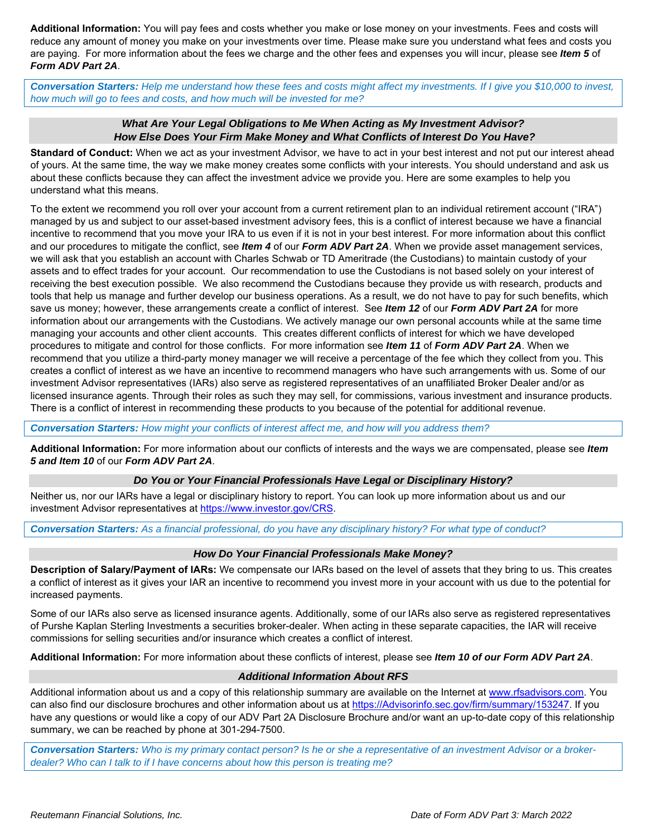**Additional Information:** You will pay fees and costs whether you make or lose money on your investments. Fees and costs will reduce any amount of money you make on your investments over time. Please make sure you understand what fees and costs you are paying. For more information about the fees we charge and the other fees and expenses you will incur, please see *Item 5* of *Form ADV Part 2A*.

*Conversation Starters: Help me understand how these fees and costs might affect my investments. If I give you \$10,000 to invest, how much will go to fees and costs, and how much will be invested for me?* 

#### *What Are Your Legal Obligations to Me When Acting as My Investment Advisor? How Else Does Your Firm Make Money and What Conflicts of Interest Do You Have?*

**Standard of Conduct:** When we act as your investment Advisor, we have to act in your best interest and not put our interest ahead of yours. At the same time, the way we make money creates some conflicts with your interests. You should understand and ask us about these conflicts because they can affect the investment advice we provide you. Here are some examples to help you understand what this means.

To the extent we recommend you roll over your account from a current retirement plan to an individual retirement account ("IRA") managed by us and subject to our asset-based investment advisory fees, this is a conflict of interest because we have a financial incentive to recommend that you move your IRA to us even if it is not in your best interest. For more information about this conflict and our procedures to mitigate the conflict, see *Item 4* of our *Form ADV Part 2A*. When we provide asset management services, we will ask that you establish an account with Charles Schwab or TD Ameritrade (the Custodians) to maintain custody of your assets and to effect trades for your account. Our recommendation to use the Custodians is not based solely on your interest of receiving the best execution possible. We also recommend the Custodians because they provide us with research, products and tools that help us manage and further develop our business operations. As a result, we do not have to pay for such benefits, which save us money; however, these arrangements create a conflict of interest. See *Item 12* of our *Form ADV Part 2A* for more information about our arrangements with the Custodians. We actively manage our own personal accounts while at the same time managing your accounts and other client accounts. This creates different conflicts of interest for which we have developed procedures to mitigate and control for those conflicts. For more information see *Item 11* of *Form ADV Part 2A*. When we recommend that you utilize a third-party money manager we will receive a percentage of the fee which they collect from you. This creates a conflict of interest as we have an incentive to recommend managers who have such arrangements with us. Some of our investment Advisor representatives (IARs) also serve as registered representatives of an unaffiliated Broker Dealer and/or as licensed insurance agents. Through their roles as such they may sell, for commissions, various investment and insurance products. There is a conflict of interest in recommending these products to you because of the potential for additional revenue.

*Conversation Starters: How might your conflicts of interest affect me, and how will you address them?* 

**Additional Information:** For more information about our conflicts of interests and the ways we are compensated, please see *Item 5 and Item 10* of our *Form ADV Part 2A*.

#### *Do You or Your Financial Professionals Have Legal or Disciplinary History?*

Neither us, nor our IARs have a legal or disciplinary history to report. You can look up more information about us and our investment Advisor representatives at https://www.investor.gov/CRS.

*Conversation Starters: As a financial professional, do you have any disciplinary history? For what type of conduct?* 

#### *How Do Your Financial Professionals Make Money?*

**Description of Salary/Payment of IARs:** We compensate our IARs based on the level of assets that they bring to us. This creates a conflict of interest as it gives your IAR an incentive to recommend you invest more in your account with us due to the potential for increased payments.

Some of our IARs also serve as licensed insurance agents. Additionally, some of our IARs also serve as registered representatives of Purshe Kaplan Sterling Investments a securities broker-dealer. When acting in these separate capacities, the IAR will receive commissions for selling securities and/or insurance which creates a conflict of interest.

**Additional Information:** For more information about these conflicts of interest, please see *Item 10 of our Form ADV Part 2A*.

#### *Additional Information About RFS*

Additional information about us and a copy of this relationship summary are available on the Internet at www.rfsadvisors.com. You can also find our disclosure brochures and other information about us at https://Advisorinfo.sec.gov/firm/summary/153247. If you have any questions or would like a copy of our ADV Part 2A Disclosure Brochure and/or want an up-to-date copy of this relationship summary, we can be reached by phone at 301-294-7500.

*Conversation Starters: Who is my primary contact person? Is he or she a representative of an investment Advisor or a brokerdealer? Who can I talk to if I have concerns about how this person is treating me?*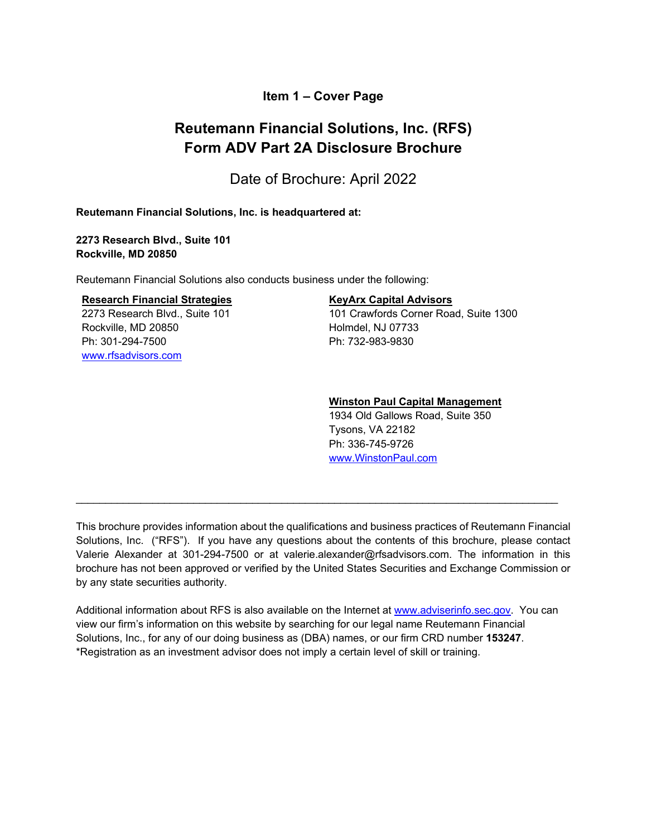# **Item 1 – Cover Page**

# **Reutemann Financial Solutions, Inc. (RFS) Form ADV Part 2A Disclosure Brochure**

Date of Brochure: April 2022

#### **Reutemann Financial Solutions, Inc. is headquartered at:**

**2273 Research Blvd., Suite 101 Rockville, MD 20850** 

Reutemann Financial Solutions also conducts business under the following:

#### **Research Financial Strategies**

2273 Research Blvd., Suite 101 Rockville, MD 20850 Ph: 301-294-7500 www.rfsadvisors.com

#### **KeyArx Capital Advisors**

101 Crawfords Corner Road, Suite 1300 Holmdel, NJ 07733 Ph: 732-983-9830

#### **Winston Paul Capital Management**

1934 Old Gallows Road, Suite 350 Tysons, VA 22182 Ph: 336-745-9726 www.WinstonPaul.com

This brochure provides information about the qualifications and business practices of Reutemann Financial Solutions, Inc. ("RFS"). If you have any questions about the contents of this brochure, please contact Valerie Alexander at 301-294-7500 or at valerie.alexander@rfsadvisors.com. The information in this brochure has not been approved or verified by the United States Securities and Exchange Commission or by any state securities authority.

\_\_\_\_\_\_\_\_\_\_\_\_\_\_\_\_\_\_\_\_\_\_\_\_\_\_\_\_\_\_\_\_\_\_\_\_\_\_\_\_\_\_\_\_\_\_\_\_\_\_\_\_\_\_\_\_\_\_\_\_\_\_\_\_\_\_\_\_\_\_\_\_\_\_\_\_\_\_\_\_\_\_

Additional information about RFS is also available on the Internet at www.adviserinfo.sec.gov. You can view our firm's information on this website by searching for our legal name Reutemann Financial Solutions, Inc., for any of our doing business as (DBA) names, or our firm CRD number **153247**. \*Registration as an investment advisor does not imply a certain level of skill or training.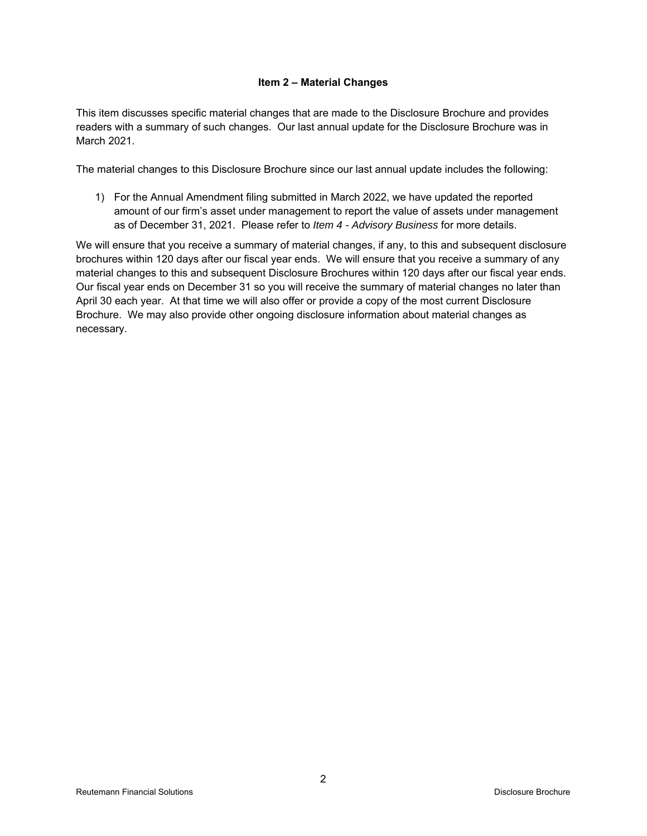#### **Item 2 – Material Changes**

This item discusses specific material changes that are made to the Disclosure Brochure and provides readers with a summary of such changes. Our last annual update for the Disclosure Brochure was in March 2021.

The material changes to this Disclosure Brochure since our last annual update includes the following:

1) For the Annual Amendment filing submitted in March 2022, we have updated the reported amount of our firm's asset under management to report the value of assets under management as of December 31, 2021. Please refer to *Item 4 - Advisory Business* for more details.

We will ensure that you receive a summary of material changes, if any, to this and subsequent disclosure brochures within 120 days after our fiscal year ends. We will ensure that you receive a summary of any material changes to this and subsequent Disclosure Brochures within 120 days after our fiscal year ends. Our fiscal year ends on December 31 so you will receive the summary of material changes no later than April 30 each year. At that time we will also offer or provide a copy of the most current Disclosure Brochure. We may also provide other ongoing disclosure information about material changes as necessary.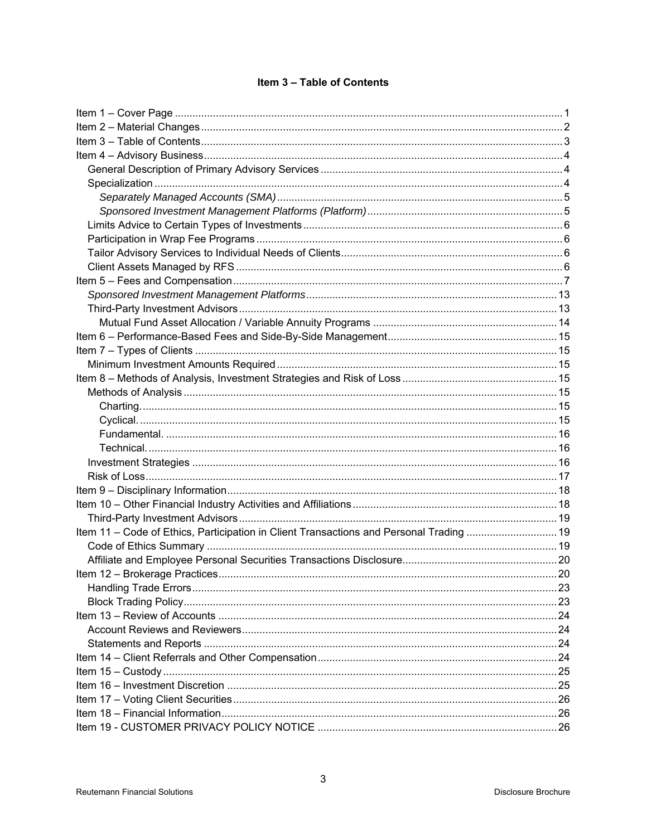# Item 3 - Table of Contents

| Item 11 - Code of Ethics, Participation in Client Transactions and Personal Trading  19 |  |
|-----------------------------------------------------------------------------------------|--|
|                                                                                         |  |
|                                                                                         |  |
|                                                                                         |  |
|                                                                                         |  |
|                                                                                         |  |
|                                                                                         |  |
|                                                                                         |  |
|                                                                                         |  |
|                                                                                         |  |
|                                                                                         |  |
|                                                                                         |  |
|                                                                                         |  |
|                                                                                         |  |
|                                                                                         |  |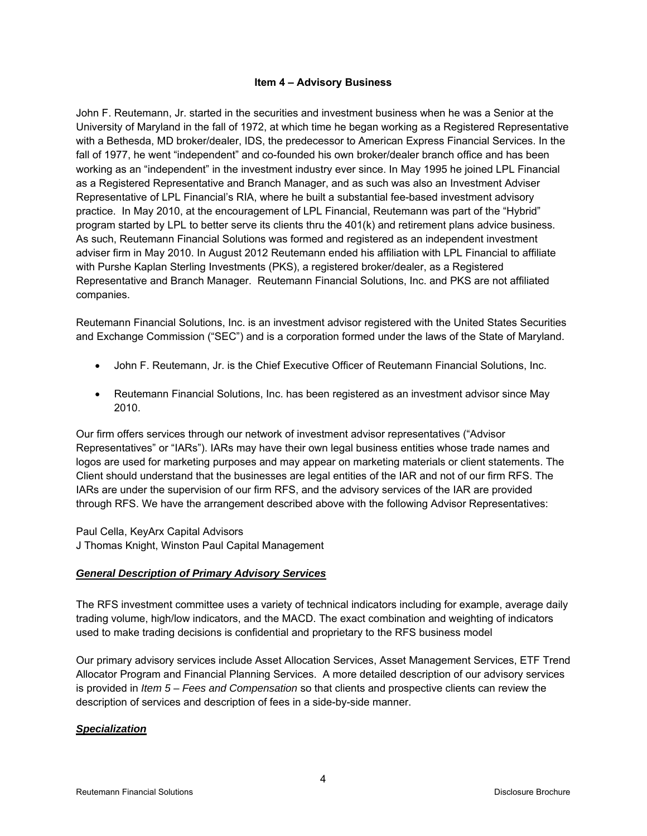#### **Item 4 – Advisory Business**

John F. Reutemann, Jr. started in the securities and investment business when he was a Senior at the University of Maryland in the fall of 1972, at which time he began working as a Registered Representative with a Bethesda, MD broker/dealer, IDS, the predecessor to American Express Financial Services. In the fall of 1977, he went "independent" and co-founded his own broker/dealer branch office and has been working as an "independent" in the investment industry ever since. In May 1995 he joined LPL Financial as a Registered Representative and Branch Manager, and as such was also an Investment Adviser Representative of LPL Financial's RIA, where he built a substantial fee-based investment advisory practice. In May 2010, at the encouragement of LPL Financial, Reutemann was part of the "Hybrid" program started by LPL to better serve its clients thru the 401(k) and retirement plans advice business. As such, Reutemann Financial Solutions was formed and registered as an independent investment adviser firm in May 2010. In August 2012 Reutemann ended his affiliation with LPL Financial to affiliate with Purshe Kaplan Sterling Investments (PKS), a registered broker/dealer, as a Registered Representative and Branch Manager. Reutemann Financial Solutions, Inc. and PKS are not affiliated companies.

Reutemann Financial Solutions, Inc. is an investment advisor registered with the United States Securities and Exchange Commission ("SEC") and is a corporation formed under the laws of the State of Maryland.

- John F. Reutemann, Jr. is the Chief Executive Officer of Reutemann Financial Solutions, Inc.
- Reutemann Financial Solutions, Inc. has been registered as an investment advisor since May 2010.

Our firm offers services through our network of investment advisor representatives ("Advisor Representatives" or "IARs"). IARs may have their own legal business entities whose trade names and logos are used for marketing purposes and may appear on marketing materials or client statements. The Client should understand that the businesses are legal entities of the IAR and not of our firm RFS. The IARs are under the supervision of our firm RFS, and the advisory services of the IAR are provided through RFS. We have the arrangement described above with the following Advisor Representatives:

Paul Cella, KeyArx Capital Advisors J Thomas Knight, Winston Paul Capital Management

# *General Description of Primary Advisory Services*

The RFS investment committee uses a variety of technical indicators including for example, average daily trading volume, high/low indicators, and the MACD. The exact combination and weighting of indicators used to make trading decisions is confidential and proprietary to the RFS business model

Our primary advisory services include Asset Allocation Services, Asset Management Services, ETF Trend Allocator Program and Financial Planning Services. A more detailed description of our advisory services is provided in *Item 5 – Fees and Compensation* so that clients and prospective clients can review the description of services and description of fees in a side-by-side manner.

# *Specialization*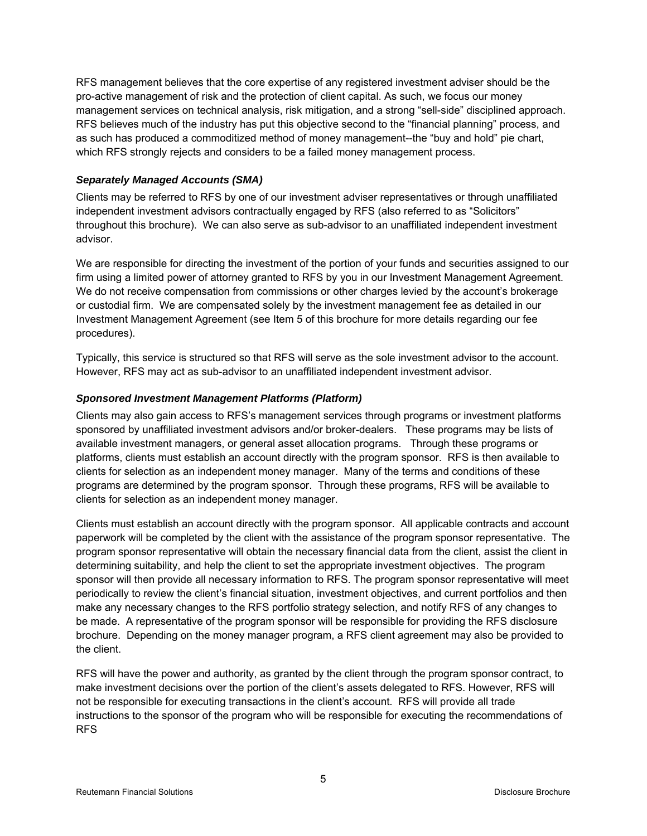RFS management believes that the core expertise of any registered investment adviser should be the pro-active management of risk and the protection of client capital. As such, we focus our money management services on technical analysis, risk mitigation, and a strong "sell-side" disciplined approach. RFS believes much of the industry has put this objective second to the "financial planning" process, and as such has produced a commoditized method of money management--the "buy and hold" pie chart, which RFS strongly rejects and considers to be a failed money management process.

# *Separately Managed Accounts (SMA)*

Clients may be referred to RFS by one of our investment adviser representatives or through unaffiliated independent investment advisors contractually engaged by RFS (also referred to as "Solicitors" throughout this brochure). We can also serve as sub-advisor to an unaffiliated independent investment advisor.

We are responsible for directing the investment of the portion of your funds and securities assigned to our firm using a limited power of attorney granted to RFS by you in our Investment Management Agreement. We do not receive compensation from commissions or other charges levied by the account's brokerage or custodial firm. We are compensated solely by the investment management fee as detailed in our Investment Management Agreement (see Item 5 of this brochure for more details regarding our fee procedures).

Typically, this service is structured so that RFS will serve as the sole investment advisor to the account. However, RFS may act as sub-advisor to an unaffiliated independent investment advisor.

# *Sponsored Investment Management Platforms (Platform)*

Clients may also gain access to RFS's management services through programs or investment platforms sponsored by unaffiliated investment advisors and/or broker-dealers. These programs may be lists of available investment managers, or general asset allocation programs. Through these programs or platforms, clients must establish an account directly with the program sponsor. RFS is then available to clients for selection as an independent money manager. Many of the terms and conditions of these programs are determined by the program sponsor. Through these programs, RFS will be available to clients for selection as an independent money manager.

Clients must establish an account directly with the program sponsor. All applicable contracts and account paperwork will be completed by the client with the assistance of the program sponsor representative. The program sponsor representative will obtain the necessary financial data from the client, assist the client in determining suitability, and help the client to set the appropriate investment objectives. The program sponsor will then provide all necessary information to RFS. The program sponsor representative will meet periodically to review the client's financial situation, investment objectives, and current portfolios and then make any necessary changes to the RFS portfolio strategy selection, and notify RFS of any changes to be made. A representative of the program sponsor will be responsible for providing the RFS disclosure brochure. Depending on the money manager program, a RFS client agreement may also be provided to the client.

RFS will have the power and authority, as granted by the client through the program sponsor contract, to make investment decisions over the portion of the client's assets delegated to RFS. However, RFS will not be responsible for executing transactions in the client's account. RFS will provide all trade instructions to the sponsor of the program who will be responsible for executing the recommendations of RFS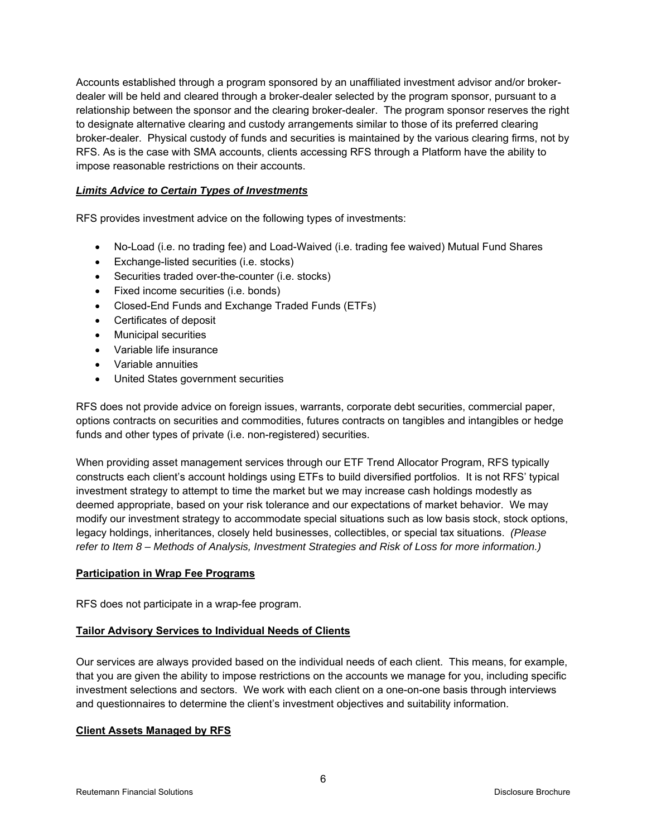Accounts established through a program sponsored by an unaffiliated investment advisor and/or brokerdealer will be held and cleared through a broker-dealer selected by the program sponsor, pursuant to a relationship between the sponsor and the clearing broker-dealer. The program sponsor reserves the right to designate alternative clearing and custody arrangements similar to those of its preferred clearing broker-dealer. Physical custody of funds and securities is maintained by the various clearing firms, not by RFS. As is the case with SMA accounts, clients accessing RFS through a Platform have the ability to impose reasonable restrictions on their accounts.

#### *Limits Advice to Certain Types of Investments*

RFS provides investment advice on the following types of investments:

- No-Load (i.e. no trading fee) and Load-Waived (i.e. trading fee waived) Mutual Fund Shares
- Exchange-listed securities (i.e. stocks)
- Securities traded over-the-counter (i.e. stocks)
- Fixed income securities (i.e. bonds)
- Closed-End Funds and Exchange Traded Funds (ETFs)
- Certificates of deposit
- Municipal securities
- Variable life insurance
- Variable annuities
- United States government securities

RFS does not provide advice on foreign issues, warrants, corporate debt securities, commercial paper, options contracts on securities and commodities, futures contracts on tangibles and intangibles or hedge funds and other types of private (i.e. non-registered) securities.

When providing asset management services through our ETF Trend Allocator Program, RFS typically constructs each client's account holdings using ETFs to build diversified portfolios. It is not RFS' typical investment strategy to attempt to time the market but we may increase cash holdings modestly as deemed appropriate, based on your risk tolerance and our expectations of market behavior. We may modify our investment strategy to accommodate special situations such as low basis stock, stock options, legacy holdings, inheritances, closely held businesses, collectibles, or special tax situations. *(Please refer to Item 8 – Methods of Analysis, Investment Strategies and Risk of Loss for more information.)* 

#### **Participation in Wrap Fee Programs**

RFS does not participate in a wrap-fee program.

#### **Tailor Advisory Services to Individual Needs of Clients**

Our services are always provided based on the individual needs of each client. This means, for example, that you are given the ability to impose restrictions on the accounts we manage for you, including specific investment selections and sectors. We work with each client on a one-on-one basis through interviews and questionnaires to determine the client's investment objectives and suitability information.

#### **Client Assets Managed by RFS**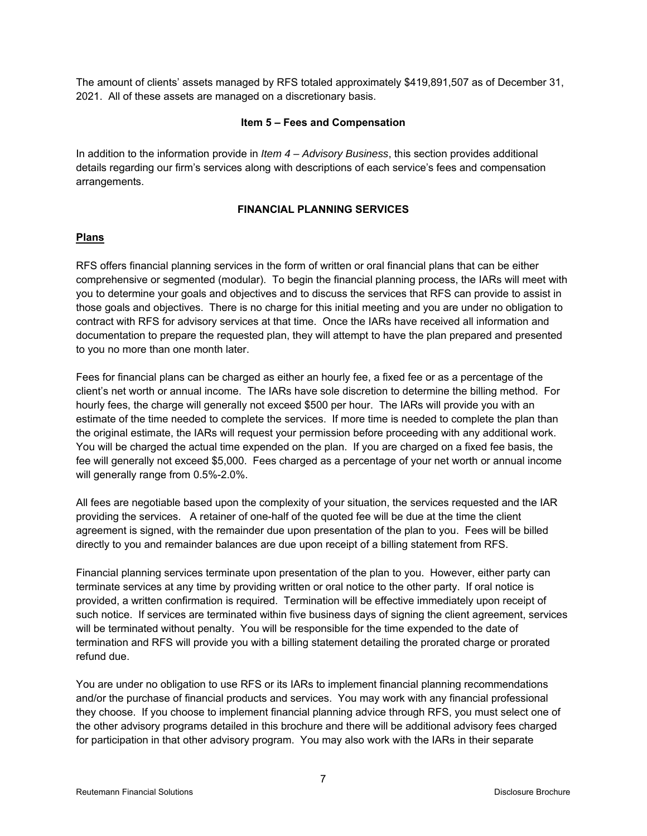The amount of clients' assets managed by RFS totaled approximately \$419,891,507 as of December 31, 2021. All of these assets are managed on a discretionary basis.

#### **Item 5 – Fees and Compensation**

In addition to the information provide in *Item 4 – Advisory Business*, this section provides additional details regarding our firm's services along with descriptions of each service's fees and compensation arrangements.

# **FINANCIAL PLANNING SERVICES**

# **Plans**

RFS offers financial planning services in the form of written or oral financial plans that can be either comprehensive or segmented (modular). To begin the financial planning process, the IARs will meet with you to determine your goals and objectives and to discuss the services that RFS can provide to assist in those goals and objectives. There is no charge for this initial meeting and you are under no obligation to contract with RFS for advisory services at that time. Once the IARs have received all information and documentation to prepare the requested plan, they will attempt to have the plan prepared and presented to you no more than one month later.

Fees for financial plans can be charged as either an hourly fee, a fixed fee or as a percentage of the client's net worth or annual income. The IARs have sole discretion to determine the billing method. For hourly fees, the charge will generally not exceed \$500 per hour. The IARs will provide you with an estimate of the time needed to complete the services. If more time is needed to complete the plan than the original estimate, the IARs will request your permission before proceeding with any additional work. You will be charged the actual time expended on the plan. If you are charged on a fixed fee basis, the fee will generally not exceed \$5,000. Fees charged as a percentage of your net worth or annual income will generally range from 0.5%-2.0%.

All fees are negotiable based upon the complexity of your situation, the services requested and the IAR providing the services. A retainer of one-half of the quoted fee will be due at the time the client agreement is signed, with the remainder due upon presentation of the plan to you. Fees will be billed directly to you and remainder balances are due upon receipt of a billing statement from RFS.

Financial planning services terminate upon presentation of the plan to you. However, either party can terminate services at any time by providing written or oral notice to the other party. If oral notice is provided, a written confirmation is required. Termination will be effective immediately upon receipt of such notice. If services are terminated within five business days of signing the client agreement, services will be terminated without penalty. You will be responsible for the time expended to the date of termination and RFS will provide you with a billing statement detailing the prorated charge or prorated refund due.

You are under no obligation to use RFS or its IARs to implement financial planning recommendations and/or the purchase of financial products and services. You may work with any financial professional they choose. If you choose to implement financial planning advice through RFS, you must select one of the other advisory programs detailed in this brochure and there will be additional advisory fees charged for participation in that other advisory program. You may also work with the IARs in their separate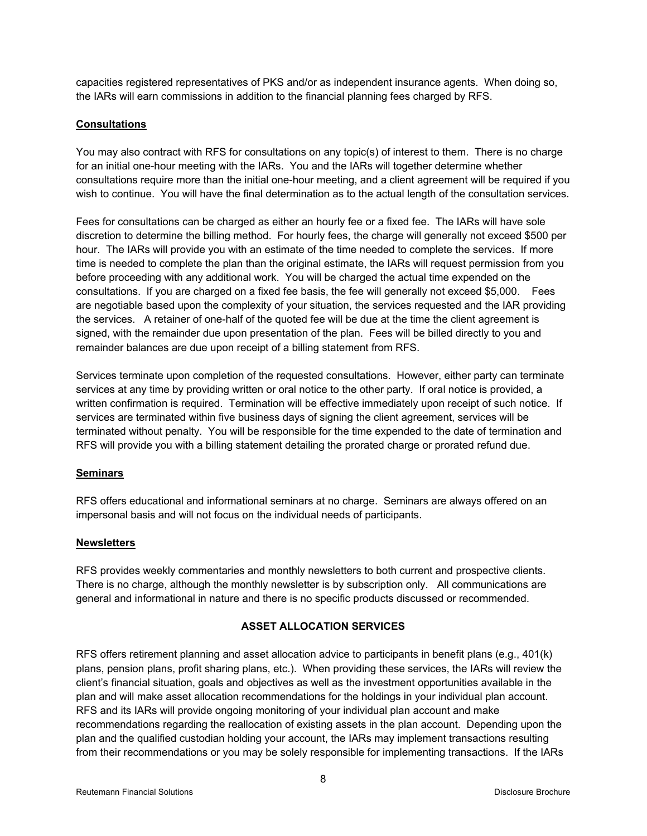capacities registered representatives of PKS and/or as independent insurance agents. When doing so, the IARs will earn commissions in addition to the financial planning fees charged by RFS.

# **Consultations**

You may also contract with RFS for consultations on any topic(s) of interest to them. There is no charge for an initial one-hour meeting with the IARs. You and the IARs will together determine whether consultations require more than the initial one-hour meeting, and a client agreement will be required if you wish to continue. You will have the final determination as to the actual length of the consultation services.

Fees for consultations can be charged as either an hourly fee or a fixed fee. The IARs will have sole discretion to determine the billing method. For hourly fees, the charge will generally not exceed \$500 per hour. The IARs will provide you with an estimate of the time needed to complete the services. If more time is needed to complete the plan than the original estimate, the IARs will request permission from you before proceeding with any additional work. You will be charged the actual time expended on the consultations. If you are charged on a fixed fee basis, the fee will generally not exceed \$5,000. Fees are negotiable based upon the complexity of your situation, the services requested and the IAR providing the services. A retainer of one-half of the quoted fee will be due at the time the client agreement is signed, with the remainder due upon presentation of the plan. Fees will be billed directly to you and remainder balances are due upon receipt of a billing statement from RFS.

Services terminate upon completion of the requested consultations. However, either party can terminate services at any time by providing written or oral notice to the other party. If oral notice is provided, a written confirmation is required. Termination will be effective immediately upon receipt of such notice. If services are terminated within five business days of signing the client agreement, services will be terminated without penalty. You will be responsible for the time expended to the date of termination and RFS will provide you with a billing statement detailing the prorated charge or prorated refund due.

# **Seminars**

RFS offers educational and informational seminars at no charge. Seminars are always offered on an impersonal basis and will not focus on the individual needs of participants.

# **Newsletters**

RFS provides weekly commentaries and monthly newsletters to both current and prospective clients. There is no charge, although the monthly newsletter is by subscription only. All communications are general and informational in nature and there is no specific products discussed or recommended.

# **ASSET ALLOCATION SERVICES**

RFS offers retirement planning and asset allocation advice to participants in benefit plans (e.g., 401(k) plans, pension plans, profit sharing plans, etc.). When providing these services, the IARs will review the client's financial situation, goals and objectives as well as the investment opportunities available in the plan and will make asset allocation recommendations for the holdings in your individual plan account. RFS and its IARs will provide ongoing monitoring of your individual plan account and make recommendations regarding the reallocation of existing assets in the plan account. Depending upon the plan and the qualified custodian holding your account, the IARs may implement transactions resulting from their recommendations or you may be solely responsible for implementing transactions. If the IARs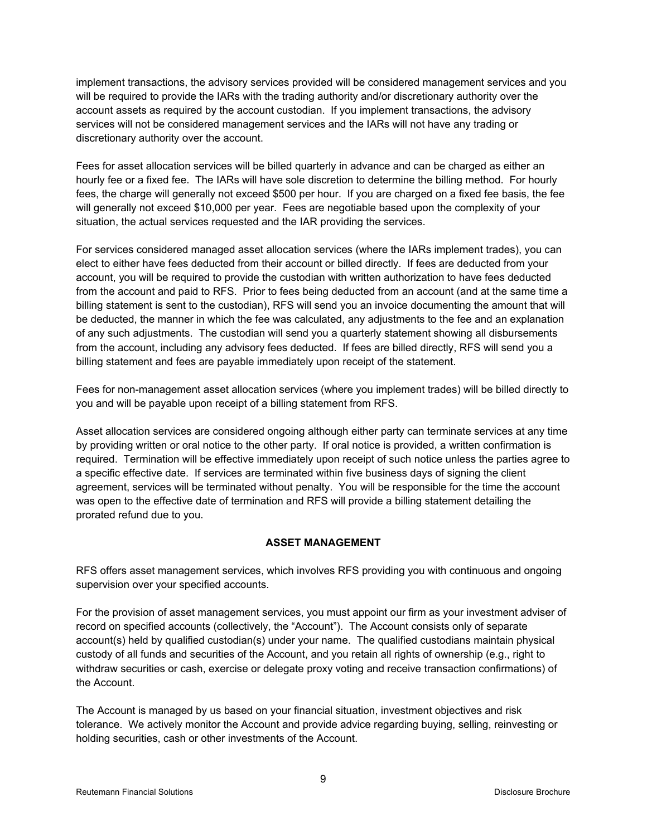implement transactions, the advisory services provided will be considered management services and you will be required to provide the IARs with the trading authority and/or discretionary authority over the account assets as required by the account custodian. If you implement transactions, the advisory services will not be considered management services and the IARs will not have any trading or discretionary authority over the account.

Fees for asset allocation services will be billed quarterly in advance and can be charged as either an hourly fee or a fixed fee. The IARs will have sole discretion to determine the billing method. For hourly fees, the charge will generally not exceed \$500 per hour. If you are charged on a fixed fee basis, the fee will generally not exceed \$10,000 per year. Fees are negotiable based upon the complexity of your situation, the actual services requested and the IAR providing the services.

For services considered managed asset allocation services (where the IARs implement trades), you can elect to either have fees deducted from their account or billed directly. If fees are deducted from your account, you will be required to provide the custodian with written authorization to have fees deducted from the account and paid to RFS. Prior to fees being deducted from an account (and at the same time a billing statement is sent to the custodian), RFS will send you an invoice documenting the amount that will be deducted, the manner in which the fee was calculated, any adjustments to the fee and an explanation of any such adjustments. The custodian will send you a quarterly statement showing all disbursements from the account, including any advisory fees deducted. If fees are billed directly, RFS will send you a billing statement and fees are payable immediately upon receipt of the statement.

Fees for non-management asset allocation services (where you implement trades) will be billed directly to you and will be payable upon receipt of a billing statement from RFS.

Asset allocation services are considered ongoing although either party can terminate services at any time by providing written or oral notice to the other party. If oral notice is provided, a written confirmation is required. Termination will be effective immediately upon receipt of such notice unless the parties agree to a specific effective date. If services are terminated within five business days of signing the client agreement, services will be terminated without penalty. You will be responsible for the time the account was open to the effective date of termination and RFS will provide a billing statement detailing the prorated refund due to you.

# **ASSET MANAGEMENT**

RFS offers asset management services, which involves RFS providing you with continuous and ongoing supervision over your specified accounts.

For the provision of asset management services, you must appoint our firm as your investment adviser of record on specified accounts (collectively, the "Account"). The Account consists only of separate account(s) held by qualified custodian(s) under your name. The qualified custodians maintain physical custody of all funds and securities of the Account, and you retain all rights of ownership (e.g., right to withdraw securities or cash, exercise or delegate proxy voting and receive transaction confirmations) of the Account.

The Account is managed by us based on your financial situation, investment objectives and risk tolerance. We actively monitor the Account and provide advice regarding buying, selling, reinvesting or holding securities, cash or other investments of the Account.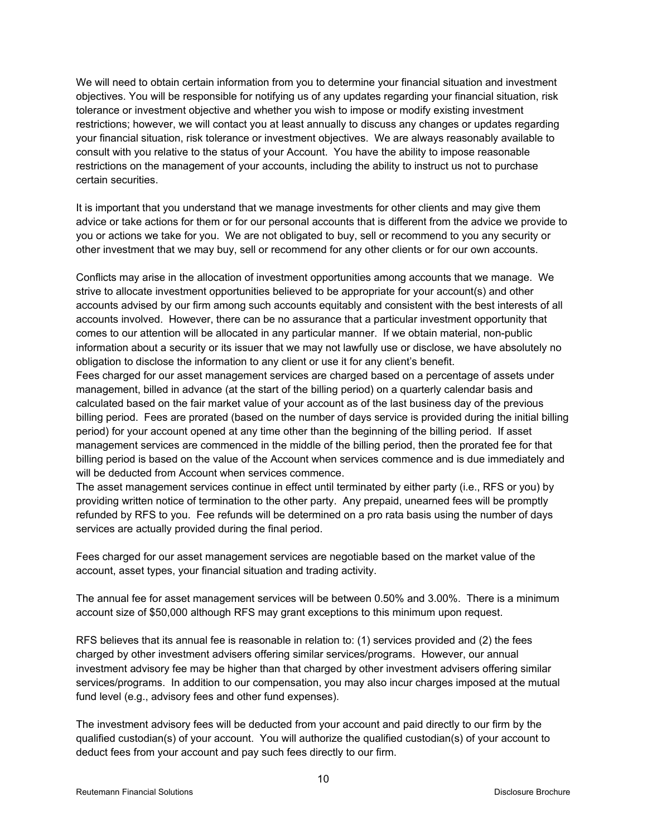We will need to obtain certain information from you to determine your financial situation and investment objectives. You will be responsible for notifying us of any updates regarding your financial situation, risk tolerance or investment objective and whether you wish to impose or modify existing investment restrictions; however, we will contact you at least annually to discuss any changes or updates regarding your financial situation, risk tolerance or investment objectives. We are always reasonably available to consult with you relative to the status of your Account. You have the ability to impose reasonable restrictions on the management of your accounts, including the ability to instruct us not to purchase certain securities.

It is important that you understand that we manage investments for other clients and may give them advice or take actions for them or for our personal accounts that is different from the advice we provide to you or actions we take for you. We are not obligated to buy, sell or recommend to you any security or other investment that we may buy, sell or recommend for any other clients or for our own accounts.

Conflicts may arise in the allocation of investment opportunities among accounts that we manage. We strive to allocate investment opportunities believed to be appropriate for your account(s) and other accounts advised by our firm among such accounts equitably and consistent with the best interests of all accounts involved. However, there can be no assurance that a particular investment opportunity that comes to our attention will be allocated in any particular manner. If we obtain material, non-public information about a security or its issuer that we may not lawfully use or disclose, we have absolutely no obligation to disclose the information to any client or use it for any client's benefit.

Fees charged for our asset management services are charged based on a percentage of assets under management, billed in advance (at the start of the billing period) on a quarterly calendar basis and calculated based on the fair market value of your account as of the last business day of the previous billing period. Fees are prorated (based on the number of days service is provided during the initial billing period) for your account opened at any time other than the beginning of the billing period. If asset management services are commenced in the middle of the billing period, then the prorated fee for that billing period is based on the value of the Account when services commence and is due immediately and will be deducted from Account when services commence.

The asset management services continue in effect until terminated by either party (i.e., RFS or you) by providing written notice of termination to the other party. Any prepaid, unearned fees will be promptly refunded by RFS to you. Fee refunds will be determined on a pro rata basis using the number of days services are actually provided during the final period.

Fees charged for our asset management services are negotiable based on the market value of the account, asset types, your financial situation and trading activity.

The annual fee for asset management services will be between 0.50% and 3.00%. There is a minimum account size of \$50,000 although RFS may grant exceptions to this minimum upon request.

RFS believes that its annual fee is reasonable in relation to: (1) services provided and (2) the fees charged by other investment advisers offering similar services/programs. However, our annual investment advisory fee may be higher than that charged by other investment advisers offering similar services/programs. In addition to our compensation, you may also incur charges imposed at the mutual fund level (e.g., advisory fees and other fund expenses).

The investment advisory fees will be deducted from your account and paid directly to our firm by the qualified custodian(s) of your account. You will authorize the qualified custodian(s) of your account to deduct fees from your account and pay such fees directly to our firm.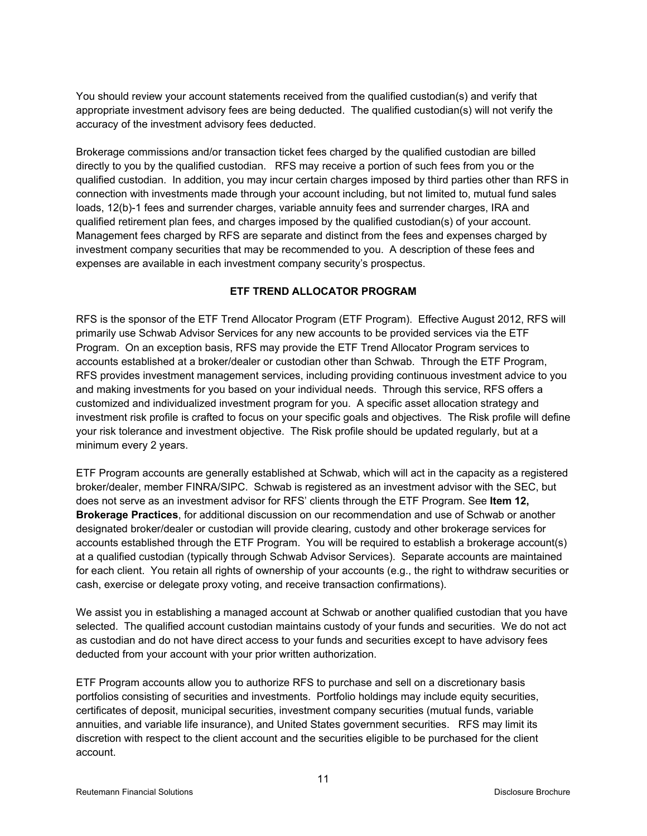You should review your account statements received from the qualified custodian(s) and verify that appropriate investment advisory fees are being deducted. The qualified custodian(s) will not verify the accuracy of the investment advisory fees deducted.

Brokerage commissions and/or transaction ticket fees charged by the qualified custodian are billed directly to you by the qualified custodian. RFS may receive a portion of such fees from you or the qualified custodian. In addition, you may incur certain charges imposed by third parties other than RFS in connection with investments made through your account including, but not limited to, mutual fund sales loads, 12(b)-1 fees and surrender charges, variable annuity fees and surrender charges, IRA and qualified retirement plan fees, and charges imposed by the qualified custodian(s) of your account. Management fees charged by RFS are separate and distinct from the fees and expenses charged by investment company securities that may be recommended to you. A description of these fees and expenses are available in each investment company security's prospectus.

# **ETF TREND ALLOCATOR PROGRAM**

RFS is the sponsor of the ETF Trend Allocator Program (ETF Program). Effective August 2012, RFS will primarily use Schwab Advisor Services for any new accounts to be provided services via the ETF Program. On an exception basis, RFS may provide the ETF Trend Allocator Program services to accounts established at a broker/dealer or custodian other than Schwab. Through the ETF Program, RFS provides investment management services, including providing continuous investment advice to you and making investments for you based on your individual needs. Through this service, RFS offers a customized and individualized investment program for you. A specific asset allocation strategy and investment risk profile is crafted to focus on your specific goals and objectives. The Risk profile will define your risk tolerance and investment objective. The Risk profile should be updated regularly, but at a minimum every 2 years.

ETF Program accounts are generally established at Schwab, which will act in the capacity as a registered broker/dealer, member FINRA/SIPC. Schwab is registered as an investment advisor with the SEC, but does not serve as an investment advisor for RFS' clients through the ETF Program. See **Item 12, Brokerage Practices**, for additional discussion on our recommendation and use of Schwab or another designated broker/dealer or custodian will provide clearing, custody and other brokerage services for accounts established through the ETF Program. You will be required to establish a brokerage account(s) at a qualified custodian (typically through Schwab Advisor Services). Separate accounts are maintained for each client. You retain all rights of ownership of your accounts (e.g., the right to withdraw securities or cash, exercise or delegate proxy voting, and receive transaction confirmations).

We assist you in establishing a managed account at Schwab or another qualified custodian that you have selected. The qualified account custodian maintains custody of your funds and securities. We do not act as custodian and do not have direct access to your funds and securities except to have advisory fees deducted from your account with your prior written authorization.

ETF Program accounts allow you to authorize RFS to purchase and sell on a discretionary basis portfolios consisting of securities and investments. Portfolio holdings may include equity securities, certificates of deposit, municipal securities, investment company securities (mutual funds, variable annuities, and variable life insurance), and United States government securities. RFS may limit its discretion with respect to the client account and the securities eligible to be purchased for the client account.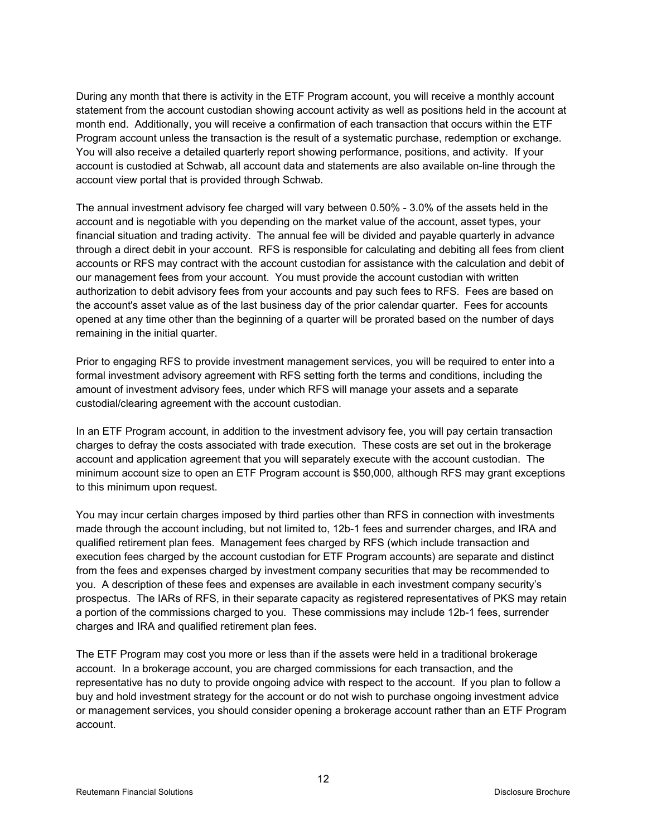During any month that there is activity in the ETF Program account, you will receive a monthly account statement from the account custodian showing account activity as well as positions held in the account at month end. Additionally, you will receive a confirmation of each transaction that occurs within the ETF Program account unless the transaction is the result of a systematic purchase, redemption or exchange. You will also receive a detailed quarterly report showing performance, positions, and activity. If your account is custodied at Schwab, all account data and statements are also available on-line through the account view portal that is provided through Schwab.

The annual investment advisory fee charged will vary between 0.50% - 3.0% of the assets held in the account and is negotiable with you depending on the market value of the account, asset types, your financial situation and trading activity. The annual fee will be divided and payable quarterly in advance through a direct debit in your account. RFS is responsible for calculating and debiting all fees from client accounts or RFS may contract with the account custodian for assistance with the calculation and debit of our management fees from your account. You must provide the account custodian with written authorization to debit advisory fees from your accounts and pay such fees to RFS. Fees are based on the account's asset value as of the last business day of the prior calendar quarter. Fees for accounts opened at any time other than the beginning of a quarter will be prorated based on the number of days remaining in the initial quarter.

Prior to engaging RFS to provide investment management services, you will be required to enter into a formal investment advisory agreement with RFS setting forth the terms and conditions, including the amount of investment advisory fees, under which RFS will manage your assets and a separate custodial/clearing agreement with the account custodian.

In an ETF Program account, in addition to the investment advisory fee, you will pay certain transaction charges to defray the costs associated with trade execution. These costs are set out in the brokerage account and application agreement that you will separately execute with the account custodian. The minimum account size to open an ETF Program account is \$50,000, although RFS may grant exceptions to this minimum upon request.

You may incur certain charges imposed by third parties other than RFS in connection with investments made through the account including, but not limited to, 12b-1 fees and surrender charges, and IRA and qualified retirement plan fees. Management fees charged by RFS (which include transaction and execution fees charged by the account custodian for ETF Program accounts) are separate and distinct from the fees and expenses charged by investment company securities that may be recommended to you. A description of these fees and expenses are available in each investment company security's prospectus. The IARs of RFS, in their separate capacity as registered representatives of PKS may retain a portion of the commissions charged to you. These commissions may include 12b-1 fees, surrender charges and IRA and qualified retirement plan fees.

The ETF Program may cost you more or less than if the assets were held in a traditional brokerage account. In a brokerage account, you are charged commissions for each transaction, and the representative has no duty to provide ongoing advice with respect to the account. If you plan to follow a buy and hold investment strategy for the account or do not wish to purchase ongoing investment advice or management services, you should consider opening a brokerage account rather than an ETF Program account.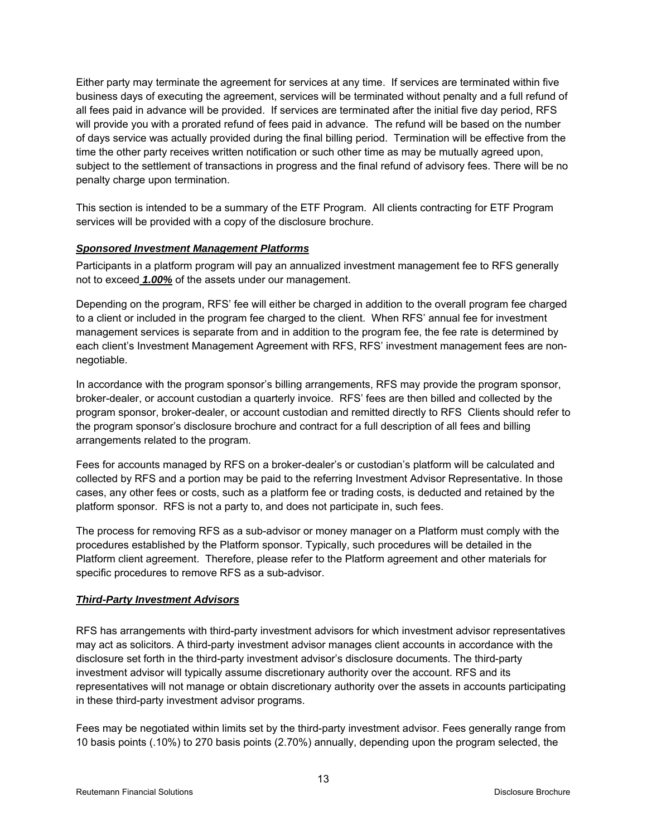Either party may terminate the agreement for services at any time. If services are terminated within five business days of executing the agreement, services will be terminated without penalty and a full refund of all fees paid in advance will be provided. If services are terminated after the initial five day period, RFS will provide you with a prorated refund of fees paid in advance. The refund will be based on the number of days service was actually provided during the final billing period. Termination will be effective from the time the other party receives written notification or such other time as may be mutually agreed upon, subject to the settlement of transactions in progress and the final refund of advisory fees. There will be no penalty charge upon termination.

This section is intended to be a summary of the ETF Program. All clients contracting for ETF Program services will be provided with a copy of the disclosure brochure.

#### *Sponsored Investment Management Platforms*

Participants in a platform program will pay an annualized investment management fee to RFS generally not to exceed *1.00%* of the assets under our management.

Depending on the program, RFS' fee will either be charged in addition to the overall program fee charged to a client or included in the program fee charged to the client. When RFS' annual fee for investment management services is separate from and in addition to the program fee, the fee rate is determined by each client's Investment Management Agreement with RFS, RFS' investment management fees are nonnegotiable.

In accordance with the program sponsor's billing arrangements, RFS may provide the program sponsor, broker-dealer, or account custodian a quarterly invoice. RFS' fees are then billed and collected by the program sponsor, broker-dealer, or account custodian and remitted directly to RFS Clients should refer to the program sponsor's disclosure brochure and contract for a full description of all fees and billing arrangements related to the program.

Fees for accounts managed by RFS on a broker-dealer's or custodian's platform will be calculated and collected by RFS and a portion may be paid to the referring Investment Advisor Representative. In those cases, any other fees or costs, such as a platform fee or trading costs, is deducted and retained by the platform sponsor. RFS is not a party to, and does not participate in, such fees.

The process for removing RFS as a sub-advisor or money manager on a Platform must comply with the procedures established by the Platform sponsor. Typically, such procedures will be detailed in the Platform client agreement. Therefore, please refer to the Platform agreement and other materials for specific procedures to remove RFS as a sub-advisor.

# *Third-Party Investment Advisors*

RFS has arrangements with third-party investment advisors for which investment advisor representatives may act as solicitors. A third-party investment advisor manages client accounts in accordance with the disclosure set forth in the third-party investment advisor's disclosure documents. The third-party investment advisor will typically assume discretionary authority over the account. RFS and its representatives will not manage or obtain discretionary authority over the assets in accounts participating in these third-party investment advisor programs.

Fees may be negotiated within limits set by the third-party investment advisor. Fees generally range from 10 basis points (.10%) to 270 basis points (2.70%) annually, depending upon the program selected, the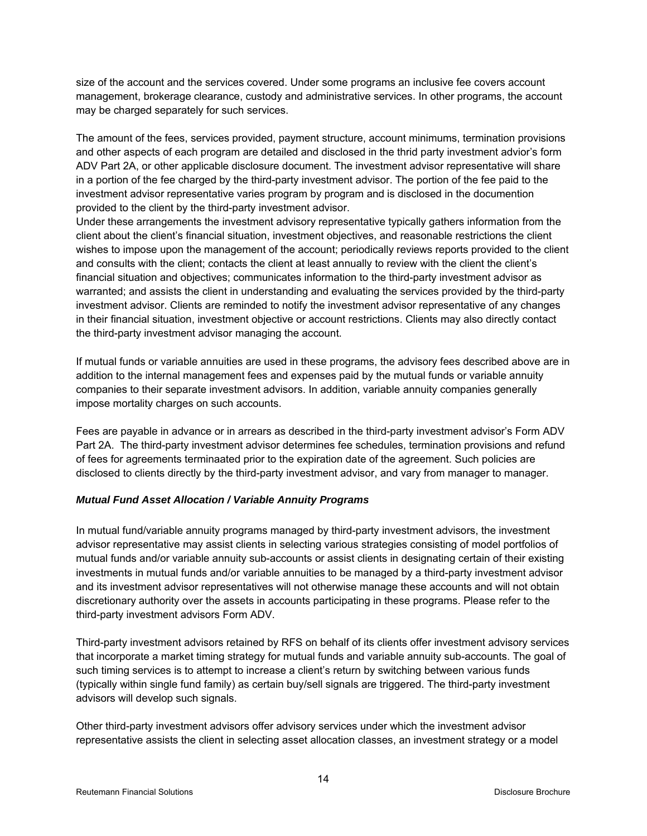size of the account and the services covered. Under some programs an inclusive fee covers account management, brokerage clearance, custody and administrative services. In other programs, the account may be charged separately for such services.

The amount of the fees, services provided, payment structure, account minimums, termination provisions and other aspects of each program are detailed and disclosed in the thrid party investment advior's form ADV Part 2A, or other applicable disclosure document. The investment advisor representative will share in a portion of the fee charged by the third-party investment advisor. The portion of the fee paid to the investment advisor representative varies program by program and is disclosed in the documention provided to the client by the third-party investment advisor.

Under these arrangements the investment advisory representative typically gathers information from the client about the client's financial situation, investment objectives, and reasonable restrictions the client wishes to impose upon the management of the account; periodically reviews reports provided to the client and consults with the client; contacts the client at least annually to review with the client the client's financial situation and objectives; communicates information to the third-party investment advisor as warranted; and assists the client in understanding and evaluating the services provided by the third-party investment advisor. Clients are reminded to notify the investment advisor representative of any changes in their financial situation, investment objective or account restrictions. Clients may also directly contact the third-party investment advisor managing the account.

If mutual funds or variable annuities are used in these programs, the advisory fees described above are in addition to the internal management fees and expenses paid by the mutual funds or variable annuity companies to their separate investment advisors. In addition, variable annuity companies generally impose mortality charges on such accounts.

Fees are payable in advance or in arrears as described in the third-party investment advisor's Form ADV Part 2A. The third-party investment advisor determines fee schedules, termination provisions and refund of fees for agreements terminaated prior to the expiration date of the agreement. Such policies are disclosed to clients directly by the third-party investment advisor, and vary from manager to manager.

# *Mutual Fund Asset Allocation / Variable Annuity Programs*

In mutual fund/variable annuity programs managed by third-party investment advisors, the investment advisor representative may assist clients in selecting various strategies consisting of model portfolios of mutual funds and/or variable annuity sub-accounts or assist clients in designating certain of their existing investments in mutual funds and/or variable annuities to be managed by a third-party investment advisor and its investment advisor representatives will not otherwise manage these accounts and will not obtain discretionary authority over the assets in accounts participating in these programs. Please refer to the third-party investment advisors Form ADV.

Third-party investment advisors retained by RFS on behalf of its clients offer investment advisory services that incorporate a market timing strategy for mutual funds and variable annuity sub-accounts. The goal of such timing services is to attempt to increase a client's return by switching between various funds (typically within single fund family) as certain buy/sell signals are triggered. The third-party investment advisors will develop such signals.

Other third-party investment advisors offer advisory services under which the investment advisor representative assists the client in selecting asset allocation classes, an investment strategy or a model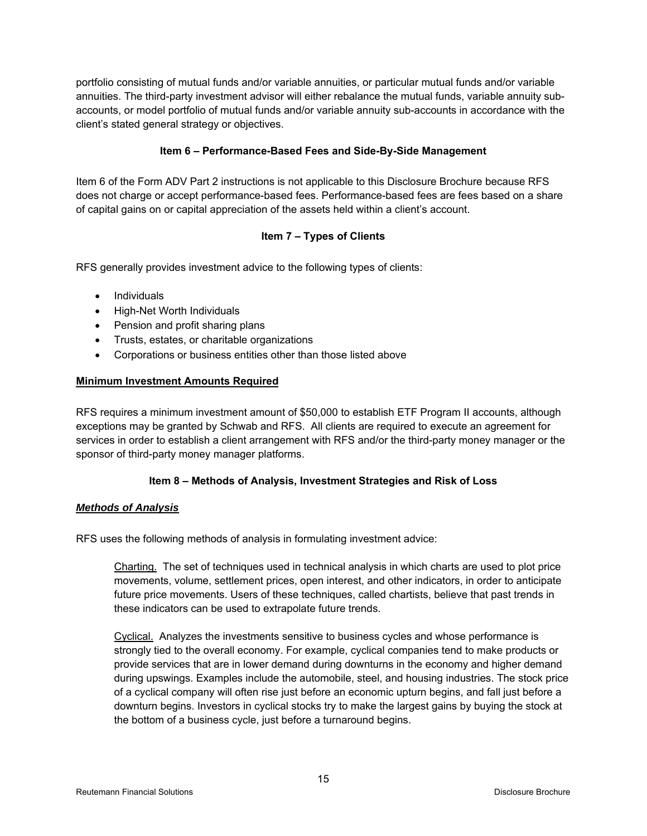portfolio consisting of mutual funds and/or variable annuities, or particular mutual funds and/or variable annuities. The third-party investment advisor will either rebalance the mutual funds, variable annuity subaccounts, or model portfolio of mutual funds and/or variable annuity sub-accounts in accordance with the client's stated general strategy or objectives.

# **Item 6 – Performance-Based Fees and Side-By-Side Management**

Item 6 of the Form ADV Part 2 instructions is not applicable to this Disclosure Brochure because RFS does not charge or accept performance-based fees. Performance-based fees are fees based on a share of capital gains on or capital appreciation of the assets held within a client's account.

# **Item 7 – Types of Clients**

RFS generally provides investment advice to the following types of clients:

- Individuals
- High-Net Worth Individuals
- Pension and profit sharing plans
- Trusts, estates, or charitable organizations
- Corporations or business entities other than those listed above

# **Minimum Investment Amounts Required**

RFS requires a minimum investment amount of \$50,000 to establish ETF Program II accounts, although exceptions may be granted by Schwab and RFS. All clients are required to execute an agreement for services in order to establish a client arrangement with RFS and/or the third-party money manager or the sponsor of third-party money manager platforms.

# **Item 8 – Methods of Analysis, Investment Strategies and Risk of Loss**

# *Methods of Analysis*

RFS uses the following methods of analysis in formulating investment advice:

Charting. The set of techniques used in technical analysis in which charts are used to plot price movements, volume, settlement prices, open interest, and other indicators, in order to anticipate future price movements. Users of these techniques, called chartists, believe that past trends in these indicators can be used to extrapolate future trends.

Cyclical. Analyzes the investments sensitive to business cycles and whose performance is strongly tied to the overall economy. For example, cyclical companies tend to make products or provide services that are in lower demand during downturns in the economy and higher demand during upswings. Examples include the automobile, steel, and housing industries. The stock price of a cyclical company will often rise just before an economic upturn begins, and fall just before a downturn begins. Investors in cyclical stocks try to make the largest gains by buying the stock at the bottom of a business cycle, just before a turnaround begins.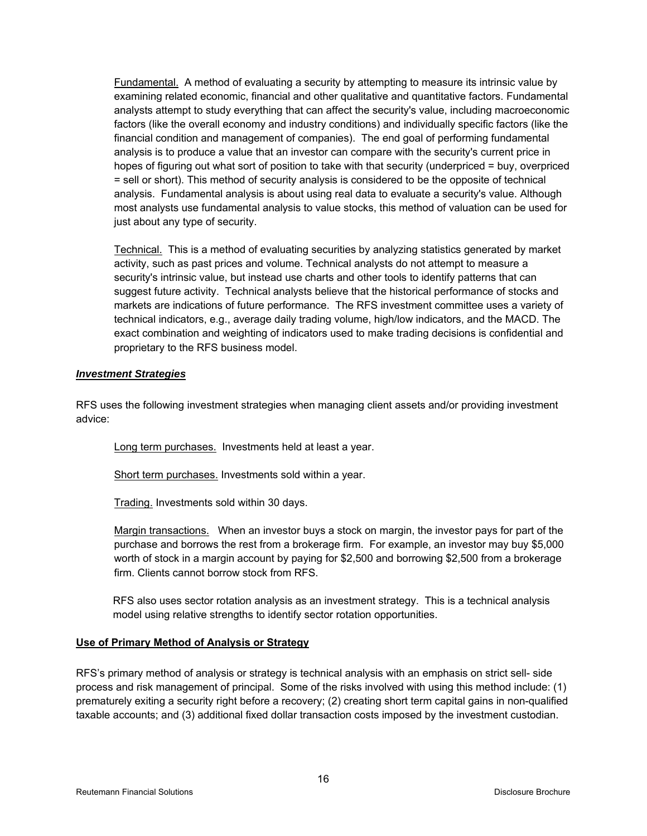Fundamental. A method of evaluating a security by attempting to measure its intrinsic value by examining related economic, financial and other qualitative and quantitative factors. Fundamental analysts attempt to study everything that can affect the security's value, including macroeconomic factors (like the overall economy and industry conditions) and individually specific factors (like the financial condition and management of companies). The end goal of performing fundamental analysis is to produce a value that an investor can compare with the security's current price in hopes of figuring out what sort of position to take with that security (underpriced = buy, overpriced = sell or short). This method of security analysis is considered to be the opposite of technical analysis. Fundamental analysis is about using real data to evaluate a security's value. Although most analysts use fundamental analysis to value stocks, this method of valuation can be used for just about any type of security.

Technical. This is a method of evaluating securities by analyzing statistics generated by market activity, such as past prices and volume. Technical analysts do not attempt to measure a security's intrinsic value, but instead use charts and other tools to identify patterns that can suggest future activity. Technical analysts believe that the historical performance of stocks and markets are indications of future performance. The RFS investment committee uses a variety of technical indicators, e.g., average daily trading volume, high/low indicators, and the MACD. The exact combination and weighting of indicators used to make trading decisions is confidential and proprietary to the RFS business model.

#### *Investment Strategies*

RFS uses the following investment strategies when managing client assets and/or providing investment advice:

Long term purchases. Investments held at least a year.

Short term purchases. Investments sold within a year.

Trading. Investments sold within 30 days.

Margin transactions. When an investor buys a stock on margin, the investor pays for part of the purchase and borrows the rest from a brokerage firm. For example, an investor may buy \$5,000 worth of stock in a margin account by paying for \$2,500 and borrowing \$2,500 from a brokerage firm. Clients cannot borrow stock from RFS.

RFS also uses sector rotation analysis as an investment strategy. This is a technical analysis model using relative strengths to identify sector rotation opportunities.

# **Use of Primary Method of Analysis or Strategy**

RFS's primary method of analysis or strategy is technical analysis with an emphasis on strict sell- side process and risk management of principal. Some of the risks involved with using this method include: (1) prematurely exiting a security right before a recovery; (2) creating short term capital gains in non-qualified taxable accounts; and (3) additional fixed dollar transaction costs imposed by the investment custodian.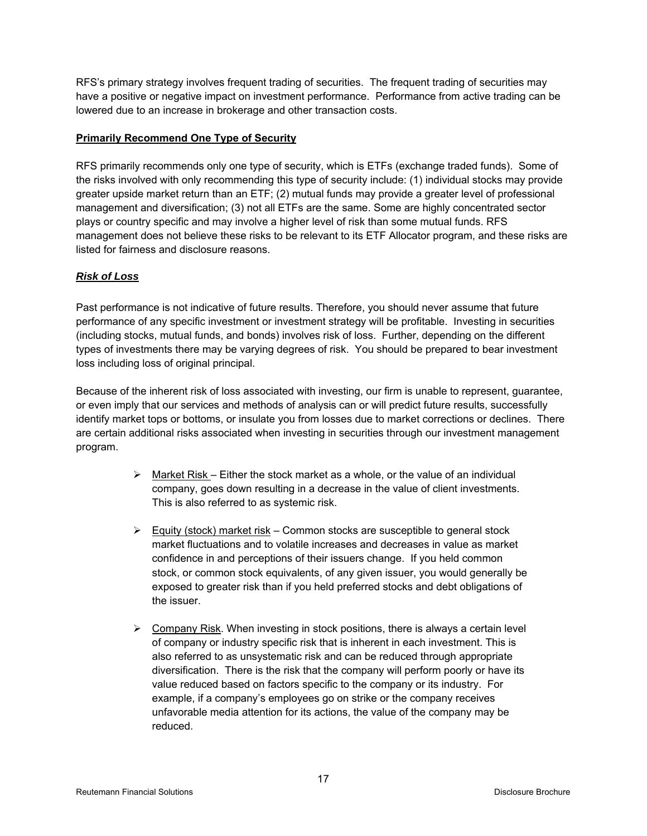RFS's primary strategy involves frequent trading of securities. The frequent trading of securities may have a positive or negative impact on investment performance. Performance from active trading can be lowered due to an increase in brokerage and other transaction costs.

# **Primarily Recommend One Type of Security**

RFS primarily recommends only one type of security, which is ETFs (exchange traded funds). Some of the risks involved with only recommending this type of security include: (1) individual stocks may provide greater upside market return than an ETF; (2) mutual funds may provide a greater level of professional management and diversification; (3) not all ETFs are the same. Some are highly concentrated sector plays or country specific and may involve a higher level of risk than some mutual funds. RFS management does not believe these risks to be relevant to its ETF Allocator program, and these risks are listed for fairness and disclosure reasons.

# *Risk of Loss*

Past performance is not indicative of future results. Therefore, you should never assume that future performance of any specific investment or investment strategy will be profitable. Investing in securities (including stocks, mutual funds, and bonds) involves risk of loss. Further, depending on the different types of investments there may be varying degrees of risk. You should be prepared to bear investment loss including loss of original principal.

Because of the inherent risk of loss associated with investing, our firm is unable to represent, guarantee, or even imply that our services and methods of analysis can or will predict future results, successfully identify market tops or bottoms, or insulate you from losses due to market corrections or declines. There are certain additional risks associated when investing in securities through our investment management program.

- $\triangleright$  Market Risk Either the stock market as a whole, or the value of an individual company, goes down resulting in a decrease in the value of client investments. This is also referred to as systemic risk.
- $\triangleright$  Equity (stock) market risk Common stocks are susceptible to general stock market fluctuations and to volatile increases and decreases in value as market confidence in and perceptions of their issuers change. If you held common stock, or common stock equivalents, of any given issuer, you would generally be exposed to greater risk than if you held preferred stocks and debt obligations of the issuer.
- $\triangleright$  Company Risk. When investing in stock positions, there is always a certain level of company or industry specific risk that is inherent in each investment. This is also referred to as unsystematic risk and can be reduced through appropriate diversification. There is the risk that the company will perform poorly or have its value reduced based on factors specific to the company or its industry. For example, if a company's employees go on strike or the company receives unfavorable media attention for its actions, the value of the company may be reduced.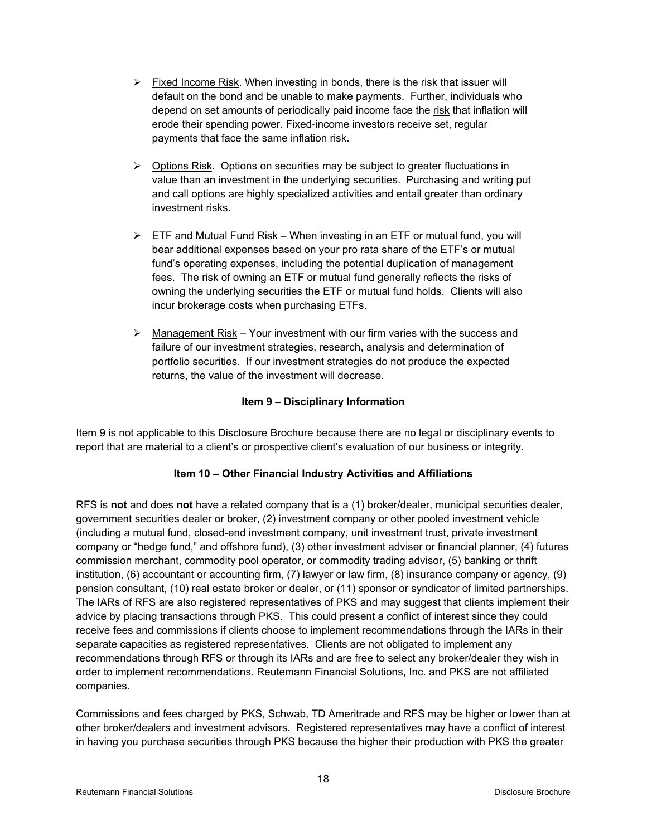- $\triangleright$  Fixed Income Risk. When investing in bonds, there is the risk that issuer will default on the bond and be unable to make payments. Further, individuals who depend on set amounts of periodically paid income face the risk that inflation will erode their spending power. Fixed-income investors receive set, regular payments that face the same inflation risk.
- $\triangleright$  Options Risk. Options on securities may be subject to greater fluctuations in value than an investment in the underlying securities. Purchasing and writing put and call options are highly specialized activities and entail greater than ordinary investment risks.
- $\triangleright$  ETF and Mutual Fund Risk When investing in an ETF or mutual fund, you will bear additional expenses based on your pro rata share of the ETF's or mutual fund's operating expenses, including the potential duplication of management fees. The risk of owning an ETF or mutual fund generally reflects the risks of owning the underlying securities the ETF or mutual fund holds. Clients will also incur brokerage costs when purchasing ETFs.
- $\triangleright$  Management Risk Your investment with our firm varies with the success and failure of our investment strategies, research, analysis and determination of portfolio securities. If our investment strategies do not produce the expected returns, the value of the investment will decrease.

# **Item 9 – Disciplinary Information**

Item 9 is not applicable to this Disclosure Brochure because there are no legal or disciplinary events to report that are material to a client's or prospective client's evaluation of our business or integrity.

# **Item 10 – Other Financial Industry Activities and Affiliations**

RFS is **not** and does **not** have a related company that is a (1) broker/dealer, municipal securities dealer, government securities dealer or broker, (2) investment company or other pooled investment vehicle (including a mutual fund, closed-end investment company, unit investment trust, private investment company or "hedge fund," and offshore fund), (3) other investment adviser or financial planner, (4) futures commission merchant, commodity pool operator, or commodity trading advisor, (5) banking or thrift institution, (6) accountant or accounting firm, (7) lawyer or law firm, (8) insurance company or agency, (9) pension consultant, (10) real estate broker or dealer, or (11) sponsor or syndicator of limited partnerships. The IARs of RFS are also registered representatives of PKS and may suggest that clients implement their advice by placing transactions through PKS. This could present a conflict of interest since they could receive fees and commissions if clients choose to implement recommendations through the IARs in their separate capacities as registered representatives. Clients are not obligated to implement any recommendations through RFS or through its IARs and are free to select any broker/dealer they wish in order to implement recommendations. Reutemann Financial Solutions, Inc. and PKS are not affiliated companies.

Commissions and fees charged by PKS, Schwab, TD Ameritrade and RFS may be higher or lower than at other broker/dealers and investment advisors. Registered representatives may have a conflict of interest in having you purchase securities through PKS because the higher their production with PKS the greater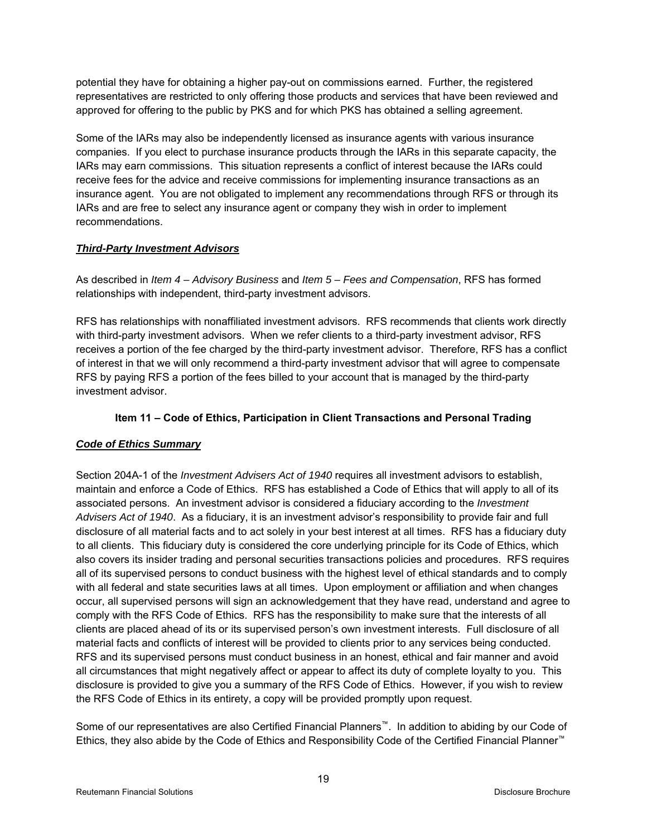potential they have for obtaining a higher pay-out on commissions earned. Further, the registered representatives are restricted to only offering those products and services that have been reviewed and approved for offering to the public by PKS and for which PKS has obtained a selling agreement.

Some of the IARs may also be independently licensed as insurance agents with various insurance companies. If you elect to purchase insurance products through the IARs in this separate capacity, the IARs may earn commissions. This situation represents a conflict of interest because the IARs could receive fees for the advice and receive commissions for implementing insurance transactions as an insurance agent. You are not obligated to implement any recommendations through RFS or through its IARs and are free to select any insurance agent or company they wish in order to implement recommendations.

# *Third-Party Investment Advisors*

As described in *Item 4 – Advisory Business* and *Item 5 – Fees and Compensation*, RFS has formed relationships with independent, third-party investment advisors.

RFS has relationships with nonaffiliated investment advisors. RFS recommends that clients work directly with third-party investment advisors. When we refer clients to a third-party investment advisor, RFS receives a portion of the fee charged by the third-party investment advisor. Therefore, RFS has a conflict of interest in that we will only recommend a third-party investment advisor that will agree to compensate RFS by paying RFS a portion of the fees billed to your account that is managed by the third-party investment advisor.

# **Item 11 – Code of Ethics, Participation in Client Transactions and Personal Trading**

# *Code of Ethics Summary*

Section 204A-1 of the *Investment Advisers Act of 1940* requires all investment advisors to establish, maintain and enforce a Code of Ethics. RFS has established a Code of Ethics that will apply to all of its associated persons. An investment advisor is considered a fiduciary according to the *Investment Advisers Act of 1940*. As a fiduciary, it is an investment advisor's responsibility to provide fair and full disclosure of all material facts and to act solely in your best interest at all times. RFS has a fiduciary duty to all clients. This fiduciary duty is considered the core underlying principle for its Code of Ethics, which also covers its insider trading and personal securities transactions policies and procedures. RFS requires all of its supervised persons to conduct business with the highest level of ethical standards and to comply with all federal and state securities laws at all times. Upon employment or affiliation and when changes occur, all supervised persons will sign an acknowledgement that they have read, understand and agree to comply with the RFS Code of Ethics. RFS has the responsibility to make sure that the interests of all clients are placed ahead of its or its supervised person's own investment interests. Full disclosure of all material facts and conflicts of interest will be provided to clients prior to any services being conducted. RFS and its supervised persons must conduct business in an honest, ethical and fair manner and avoid all circumstances that might negatively affect or appear to affect its duty of complete loyalty to you. This disclosure is provided to give you a summary of the RFS Code of Ethics. However, if you wish to review the RFS Code of Ethics in its entirety, a copy will be provided promptly upon request.

Some of our representatives are also Certified Financial Planners™. In addition to abiding by our Code of Ethics, they also abide by the Code of Ethics and Responsibility Code of the Certified Financial Planner™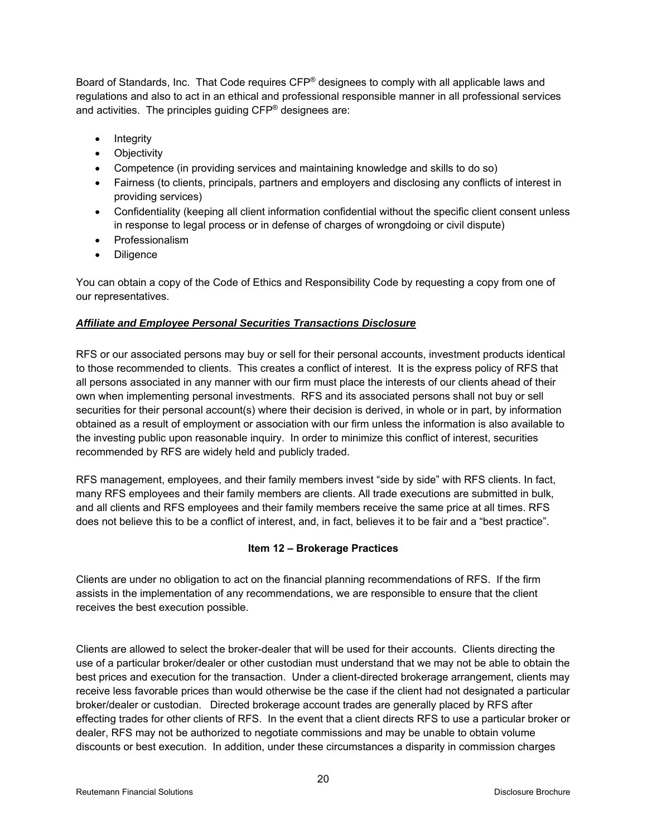Board of Standards, Inc. That Code requires CFP® designees to comply with all applicable laws and regulations and also to act in an ethical and professional responsible manner in all professional services and activities. The principles guiding CFP® designees are:

- Integrity
- Objectivity
- Competence (in providing services and maintaining knowledge and skills to do so)
- Fairness (to clients, principals, partners and employers and disclosing any conflicts of interest in providing services)
- Confidentiality (keeping all client information confidential without the specific client consent unless in response to legal process or in defense of charges of wrongdoing or civil dispute)
- Professionalism
- Diligence

You can obtain a copy of the Code of Ethics and Responsibility Code by requesting a copy from one of our representatives.

# *Affiliate and Employee Personal Securities Transactions Disclosure*

RFS or our associated persons may buy or sell for their personal accounts, investment products identical to those recommended to clients. This creates a conflict of interest. It is the express policy of RFS that all persons associated in any manner with our firm must place the interests of our clients ahead of their own when implementing personal investments. RFS and its associated persons shall not buy or sell securities for their personal account(s) where their decision is derived, in whole or in part, by information obtained as a result of employment or association with our firm unless the information is also available to the investing public upon reasonable inquiry. In order to minimize this conflict of interest, securities recommended by RFS are widely held and publicly traded.

RFS management, employees, and their family members invest "side by side" with RFS clients. In fact, many RFS employees and their family members are clients. All trade executions are submitted in bulk, and all clients and RFS employees and their family members receive the same price at all times. RFS does not believe this to be a conflict of interest, and, in fact, believes it to be fair and a "best practice".

# **Item 12 – Brokerage Practices**

Clients are under no obligation to act on the financial planning recommendations of RFS. If the firm assists in the implementation of any recommendations, we are responsible to ensure that the client receives the best execution possible.

Clients are allowed to select the broker-dealer that will be used for their accounts. Clients directing the use of a particular broker/dealer or other custodian must understand that we may not be able to obtain the best prices and execution for the transaction. Under a client-directed brokerage arrangement, clients may receive less favorable prices than would otherwise be the case if the client had not designated a particular broker/dealer or custodian. Directed brokerage account trades are generally placed by RFS after effecting trades for other clients of RFS. In the event that a client directs RFS to use a particular broker or dealer, RFS may not be authorized to negotiate commissions and may be unable to obtain volume discounts or best execution. In addition, under these circumstances a disparity in commission charges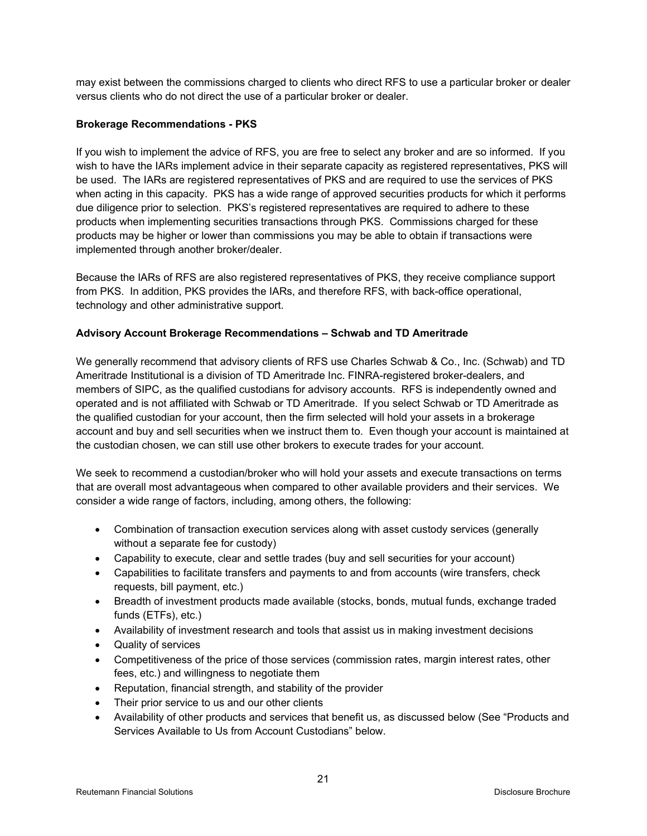may exist between the commissions charged to clients who direct RFS to use a particular broker or dealer versus clients who do not direct the use of a particular broker or dealer.

# **Brokerage Recommendations - PKS**

If you wish to implement the advice of RFS, you are free to select any broker and are so informed. If you wish to have the IARs implement advice in their separate capacity as registered representatives, PKS will be used. The IARs are registered representatives of PKS and are required to use the services of PKS when acting in this capacity. PKS has a wide range of approved securities products for which it performs due diligence prior to selection. PKS's registered representatives are required to adhere to these products when implementing securities transactions through PKS. Commissions charged for these products may be higher or lower than commissions you may be able to obtain if transactions were implemented through another broker/dealer.

Because the IARs of RFS are also registered representatives of PKS, they receive compliance support from PKS. In addition, PKS provides the IARs, and therefore RFS, with back-office operational, technology and other administrative support.

#### **Advisory Account Brokerage Recommendations – Schwab and TD Ameritrade**

We generally recommend that advisory clients of RFS use Charles Schwab & Co., Inc. (Schwab) and TD Ameritrade Institutional is a division of TD Ameritrade Inc. FINRA-registered broker-dealers, and members of SIPC, as the qualified custodians for advisory accounts. RFS is independently owned and operated and is not affiliated with Schwab or TD Ameritrade. If you select Schwab or TD Ameritrade as the qualified custodian for your account, then the firm selected will hold your assets in a brokerage account and buy and sell securities when we instruct them to. Even though your account is maintained at the custodian chosen, we can still use other brokers to execute trades for your account.

We seek to recommend a custodian/broker who will hold your assets and execute transactions on terms that are overall most advantageous when compared to other available providers and their services. We consider a wide range of factors, including, among others, the following:

- Combination of transaction execution services along with asset custody services (generally without a separate fee for custody)
- Capability to execute, clear and settle trades (buy and sell securities for your account)
- Capabilities to facilitate transfers and payments to and from accounts (wire transfers, check requests, bill payment, etc.)
- Breadth of investment products made available (stocks, bonds, mutual funds, exchange traded funds (ETFs), etc.)
- Availability of investment research and tools that assist us in making investment decisions
- Quality of services
- Competitiveness of the price of those services (commission rates, margin interest rates, other fees, etc.) and willingness to negotiate them
- Reputation, financial strength, and stability of the provider
- Their prior service to us and our other clients
- Availability of other products and services that benefit us, as discussed below (See "Products and Services Available to Us from Account Custodians" below.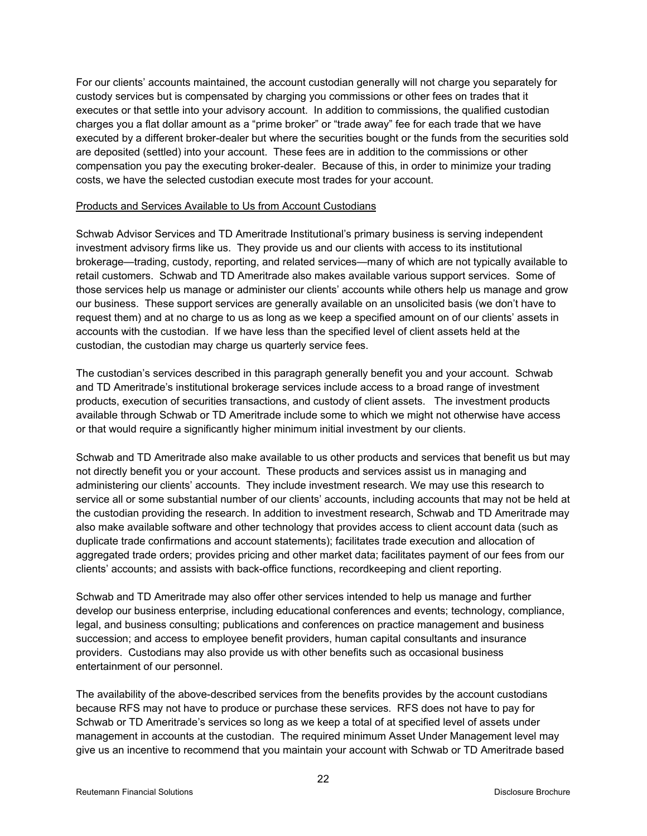For our clients' accounts maintained, the account custodian generally will not charge you separately for custody services but is compensated by charging you commissions or other fees on trades that it executes or that settle into your advisory account. In addition to commissions, the qualified custodian charges you a flat dollar amount as a "prime broker" or "trade away" fee for each trade that we have executed by a different broker-dealer but where the securities bought or the funds from the securities sold are deposited (settled) into your account. These fees are in addition to the commissions or other compensation you pay the executing broker-dealer. Because of this, in order to minimize your trading costs, we have the selected custodian execute most trades for your account.

#### Products and Services Available to Us from Account Custodians

Schwab Advisor Services and TD Ameritrade Institutional's primary business is serving independent investment advisory firms like us. They provide us and our clients with access to its institutional brokerage—trading, custody, reporting, and related services—many of which are not typically available to retail customers. Schwab and TD Ameritrade also makes available various support services. Some of those services help us manage or administer our clients' accounts while others help us manage and grow our business. These support services are generally available on an unsolicited basis (we don't have to request them) and at no charge to us as long as we keep a specified amount on of our clients' assets in accounts with the custodian. If we have less than the specified level of client assets held at the custodian, the custodian may charge us quarterly service fees.

The custodian's services described in this paragraph generally benefit you and your account. Schwab and TD Ameritrade's institutional brokerage services include access to a broad range of investment products, execution of securities transactions, and custody of client assets. The investment products available through Schwab or TD Ameritrade include some to which we might not otherwise have access or that would require a significantly higher minimum initial investment by our clients.

Schwab and TD Ameritrade also make available to us other products and services that benefit us but may not directly benefit you or your account. These products and services assist us in managing and administering our clients' accounts. They include investment research. We may use this research to service all or some substantial number of our clients' accounts, including accounts that may not be held at the custodian providing the research. In addition to investment research, Schwab and TD Ameritrade may also make available software and other technology that provides access to client account data (such as duplicate trade confirmations and account statements); facilitates trade execution and allocation of aggregated trade orders; provides pricing and other market data; facilitates payment of our fees from our clients' accounts; and assists with back-office functions, recordkeeping and client reporting.

Schwab and TD Ameritrade may also offer other services intended to help us manage and further develop our business enterprise, including educational conferences and events; technology, compliance, legal, and business consulting; publications and conferences on practice management and business succession; and access to employee benefit providers, human capital consultants and insurance providers. Custodians may also provide us with other benefits such as occasional business entertainment of our personnel.

The availability of the above-described services from the benefits provides by the account custodians because RFS may not have to produce or purchase these services. RFS does not have to pay for Schwab or TD Ameritrade's services so long as we keep a total of at specified level of assets under management in accounts at the custodian. The required minimum Asset Under Management level may give us an incentive to recommend that you maintain your account with Schwab or TD Ameritrade based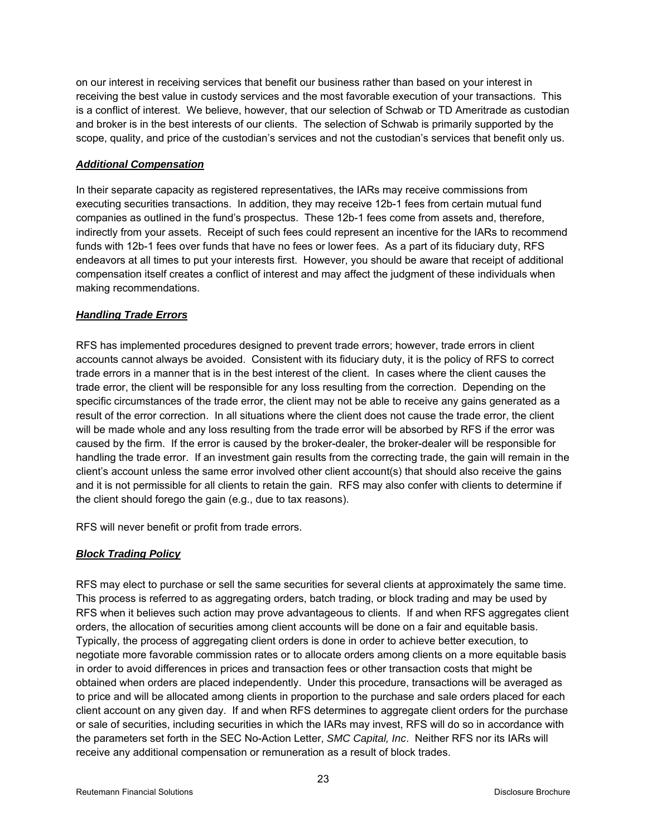on our interest in receiving services that benefit our business rather than based on your interest in receiving the best value in custody services and the most favorable execution of your transactions. This is a conflict of interest. We believe, however, that our selection of Schwab or TD Ameritrade as custodian and broker is in the best interests of our clients. The selection of Schwab is primarily supported by the scope, quality, and price of the custodian's services and not the custodian's services that benefit only us.

# *Additional Compensation*

In their separate capacity as registered representatives, the IARs may receive commissions from executing securities transactions. In addition, they may receive 12b-1 fees from certain mutual fund companies as outlined in the fund's prospectus. These 12b-1 fees come from assets and, therefore, indirectly from your assets. Receipt of such fees could represent an incentive for the IARs to recommend funds with 12b-1 fees over funds that have no fees or lower fees. As a part of its fiduciary duty, RFS endeavors at all times to put your interests first. However, you should be aware that receipt of additional compensation itself creates a conflict of interest and may affect the judgment of these individuals when making recommendations.

# *Handling Trade Errors*

RFS has implemented procedures designed to prevent trade errors; however, trade errors in client accounts cannot always be avoided. Consistent with its fiduciary duty, it is the policy of RFS to correct trade errors in a manner that is in the best interest of the client. In cases where the client causes the trade error, the client will be responsible for any loss resulting from the correction. Depending on the specific circumstances of the trade error, the client may not be able to receive any gains generated as a result of the error correction. In all situations where the client does not cause the trade error, the client will be made whole and any loss resulting from the trade error will be absorbed by RFS if the error was caused by the firm. If the error is caused by the broker-dealer, the broker-dealer will be responsible for handling the trade error. If an investment gain results from the correcting trade, the gain will remain in the client's account unless the same error involved other client account(s) that should also receive the gains and it is not permissible for all clients to retain the gain. RFS may also confer with clients to determine if the client should forego the gain (e.g., due to tax reasons).

RFS will never benefit or profit from trade errors.

# *Block Trading Policy*

RFS may elect to purchase or sell the same securities for several clients at approximately the same time. This process is referred to as aggregating orders, batch trading, or block trading and may be used by RFS when it believes such action may prove advantageous to clients. If and when RFS aggregates client orders, the allocation of securities among client accounts will be done on a fair and equitable basis. Typically, the process of aggregating client orders is done in order to achieve better execution, to negotiate more favorable commission rates or to allocate orders among clients on a more equitable basis in order to avoid differences in prices and transaction fees or other transaction costs that might be obtained when orders are placed independently. Under this procedure, transactions will be averaged as to price and will be allocated among clients in proportion to the purchase and sale orders placed for each client account on any given day. If and when RFS determines to aggregate client orders for the purchase or sale of securities, including securities in which the IARs may invest, RFS will do so in accordance with the parameters set forth in the SEC No-Action Letter, *SMC Capital, Inc*. Neither RFS nor its IARs will receive any additional compensation or remuneration as a result of block trades.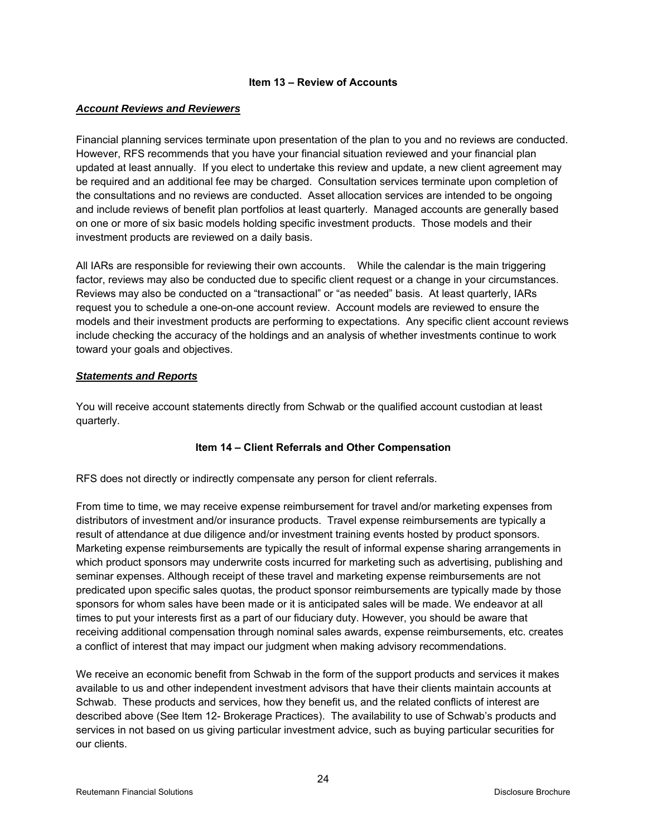#### **Item 13 – Review of Accounts**

#### *Account Reviews and Reviewers*

Financial planning services terminate upon presentation of the plan to you and no reviews are conducted. However, RFS recommends that you have your financial situation reviewed and your financial plan updated at least annually. If you elect to undertake this review and update, a new client agreement may be required and an additional fee may be charged. Consultation services terminate upon completion of the consultations and no reviews are conducted. Asset allocation services are intended to be ongoing and include reviews of benefit plan portfolios at least quarterly. Managed accounts are generally based on one or more of six basic models holding specific investment products. Those models and their investment products are reviewed on a daily basis.

All IARs are responsible for reviewing their own accounts. While the calendar is the main triggering factor, reviews may also be conducted due to specific client request or a change in your circumstances. Reviews may also be conducted on a "transactional" or "as needed" basis. At least quarterly, IARs request you to schedule a one-on-one account review. Account models are reviewed to ensure the models and their investment products are performing to expectations. Any specific client account reviews include checking the accuracy of the holdings and an analysis of whether investments continue to work toward your goals and objectives.

#### *Statements and Reports*

You will receive account statements directly from Schwab or the qualified account custodian at least quarterly.

# **Item 14 – Client Referrals and Other Compensation**

RFS does not directly or indirectly compensate any person for client referrals.

From time to time, we may receive expense reimbursement for travel and/or marketing expenses from distributors of investment and/or insurance products. Travel expense reimbursements are typically a result of attendance at due diligence and/or investment training events hosted by product sponsors. Marketing expense reimbursements are typically the result of informal expense sharing arrangements in which product sponsors may underwrite costs incurred for marketing such as advertising, publishing and seminar expenses. Although receipt of these travel and marketing expense reimbursements are not predicated upon specific sales quotas, the product sponsor reimbursements are typically made by those sponsors for whom sales have been made or it is anticipated sales will be made. We endeavor at all times to put your interests first as a part of our fiduciary duty. However, you should be aware that receiving additional compensation through nominal sales awards, expense reimbursements, etc. creates a conflict of interest that may impact our judgment when making advisory recommendations.

We receive an economic benefit from Schwab in the form of the support products and services it makes available to us and other independent investment advisors that have their clients maintain accounts at Schwab. These products and services, how they benefit us, and the related conflicts of interest are described above (See Item 12- Brokerage Practices). The availability to use of Schwab's products and services in not based on us giving particular investment advice, such as buying particular securities for our clients.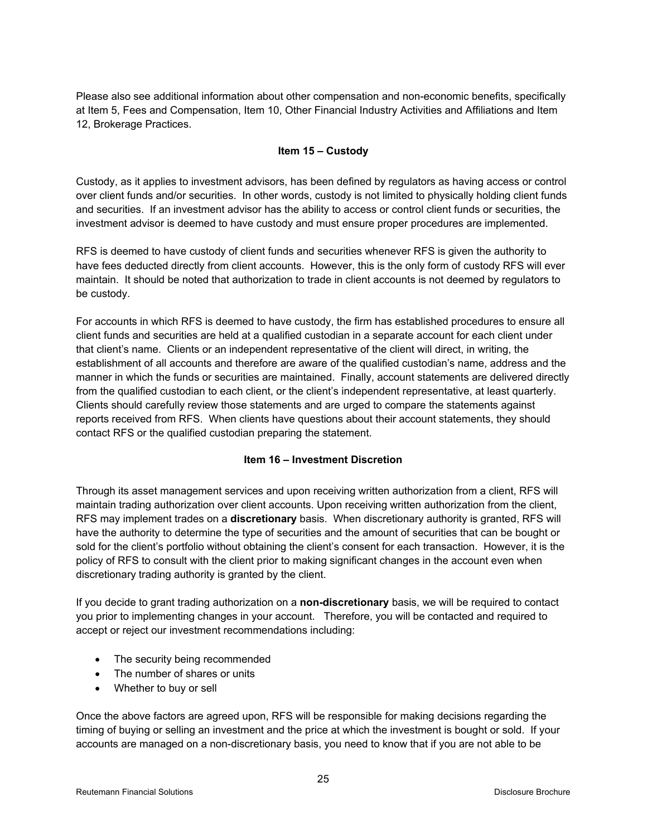Please also see additional information about other compensation and non-economic benefits, specifically at Item 5, Fees and Compensation, Item 10, Other Financial Industry Activities and Affiliations and Item 12, Brokerage Practices.

#### **Item 15 – Custody**

Custody, as it applies to investment advisors, has been defined by regulators as having access or control over client funds and/or securities. In other words, custody is not limited to physically holding client funds and securities. If an investment advisor has the ability to access or control client funds or securities, the investment advisor is deemed to have custody and must ensure proper procedures are implemented.

RFS is deemed to have custody of client funds and securities whenever RFS is given the authority to have fees deducted directly from client accounts. However, this is the only form of custody RFS will ever maintain. It should be noted that authorization to trade in client accounts is not deemed by regulators to be custody.

For accounts in which RFS is deemed to have custody, the firm has established procedures to ensure all client funds and securities are held at a qualified custodian in a separate account for each client under that client's name. Clients or an independent representative of the client will direct, in writing, the establishment of all accounts and therefore are aware of the qualified custodian's name, address and the manner in which the funds or securities are maintained. Finally, account statements are delivered directly from the qualified custodian to each client, or the client's independent representative, at least quarterly. Clients should carefully review those statements and are urged to compare the statements against reports received from RFS. When clients have questions about their account statements, they should contact RFS or the qualified custodian preparing the statement.

# **Item 16 – Investment Discretion**

Through its asset management services and upon receiving written authorization from a client, RFS will maintain trading authorization over client accounts. Upon receiving written authorization from the client, RFS may implement trades on a **discretionary** basis. When discretionary authority is granted, RFS will have the authority to determine the type of securities and the amount of securities that can be bought or sold for the client's portfolio without obtaining the client's consent for each transaction. However, it is the policy of RFS to consult with the client prior to making significant changes in the account even when discretionary trading authority is granted by the client.

If you decide to grant trading authorization on a **non-discretionary** basis, we will be required to contact you prior to implementing changes in your account. Therefore, you will be contacted and required to accept or reject our investment recommendations including:

- The security being recommended
- The number of shares or units
- Whether to buy or sell

Once the above factors are agreed upon, RFS will be responsible for making decisions regarding the timing of buying or selling an investment and the price at which the investment is bought or sold. If your accounts are managed on a non-discretionary basis, you need to know that if you are not able to be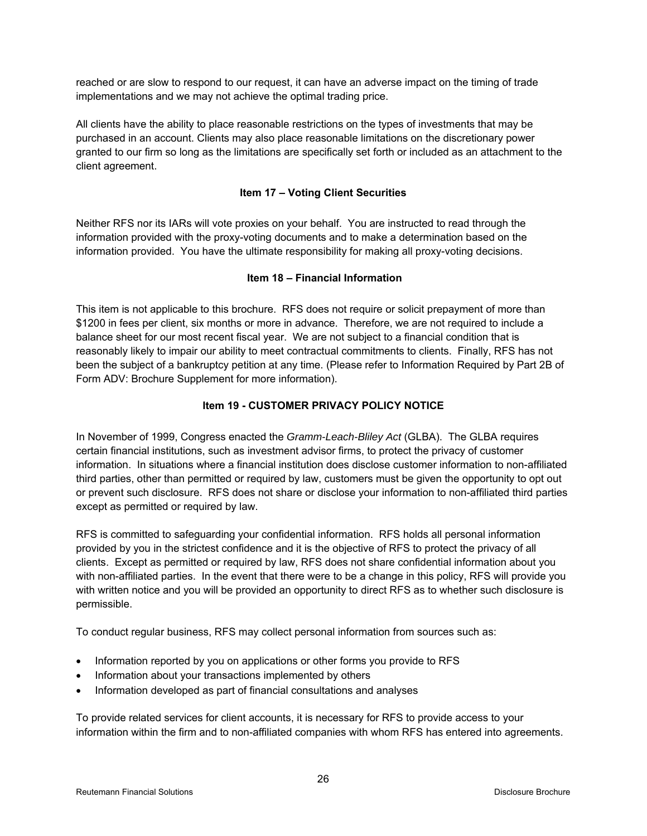reached or are slow to respond to our request, it can have an adverse impact on the timing of trade implementations and we may not achieve the optimal trading price.

All clients have the ability to place reasonable restrictions on the types of investments that may be purchased in an account. Clients may also place reasonable limitations on the discretionary power granted to our firm so long as the limitations are specifically set forth or included as an attachment to the client agreement.

# **Item 17 – Voting Client Securities**

Neither RFS nor its IARs will vote proxies on your behalf. You are instructed to read through the information provided with the proxy-voting documents and to make a determination based on the information provided. You have the ultimate responsibility for making all proxy-voting decisions.

# **Item 18 – Financial Information**

This item is not applicable to this brochure. RFS does not require or solicit prepayment of more than \$1200 in fees per client, six months or more in advance. Therefore, we are not required to include a balance sheet for our most recent fiscal year. We are not subject to a financial condition that is reasonably likely to impair our ability to meet contractual commitments to clients. Finally, RFS has not been the subject of a bankruptcy petition at any time. (Please refer to Information Required by Part 2B of Form ADV: Brochure Supplement for more information).

# **Item 19 - CUSTOMER PRIVACY POLICY NOTICE**

In November of 1999, Congress enacted the *Gramm-Leach-Bliley Act* (GLBA). The GLBA requires certain financial institutions, such as investment advisor firms, to protect the privacy of customer information. In situations where a financial institution does disclose customer information to non-affiliated third parties, other than permitted or required by law, customers must be given the opportunity to opt out or prevent such disclosure. RFS does not share or disclose your information to non-affiliated third parties except as permitted or required by law.

RFS is committed to safeguarding your confidential information. RFS holds all personal information provided by you in the strictest confidence and it is the objective of RFS to protect the privacy of all clients. Except as permitted or required by law, RFS does not share confidential information about you with non-affiliated parties. In the event that there were to be a change in this policy, RFS will provide you with written notice and you will be provided an opportunity to direct RFS as to whether such disclosure is permissible.

To conduct regular business, RFS may collect personal information from sources such as:

- Information reported by you on applications or other forms you provide to RFS
- Information about your transactions implemented by others
- Information developed as part of financial consultations and analyses

To provide related services for client accounts, it is necessary for RFS to provide access to your information within the firm and to non-affiliated companies with whom RFS has entered into agreements.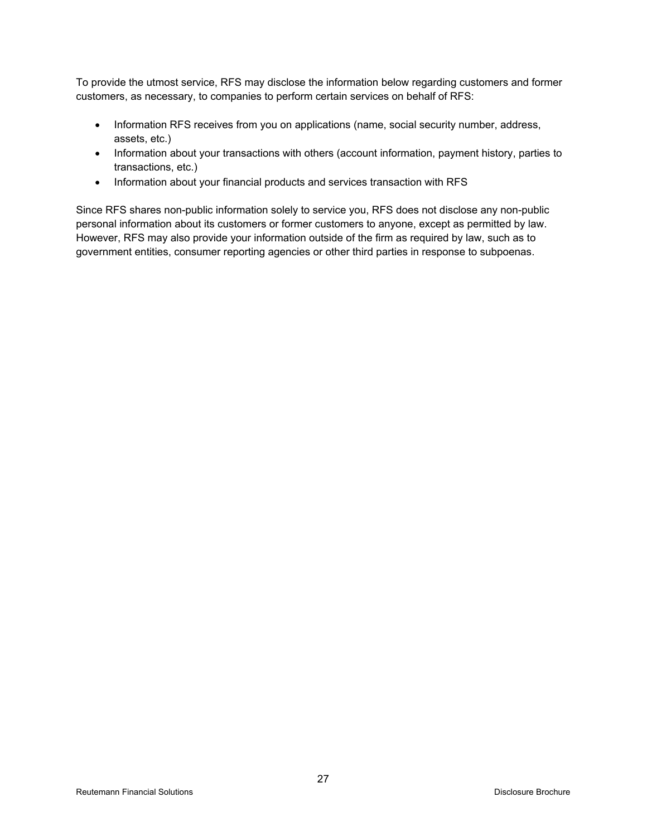To provide the utmost service, RFS may disclose the information below regarding customers and former customers, as necessary, to companies to perform certain services on behalf of RFS:

- Information RFS receives from you on applications (name, social security number, address, assets, etc.)
- Information about your transactions with others (account information, payment history, parties to transactions, etc.)
- Information about your financial products and services transaction with RFS

Since RFS shares non-public information solely to service you, RFS does not disclose any non-public personal information about its customers or former customers to anyone, except as permitted by law. However, RFS may also provide your information outside of the firm as required by law, such as to government entities, consumer reporting agencies or other third parties in response to subpoenas.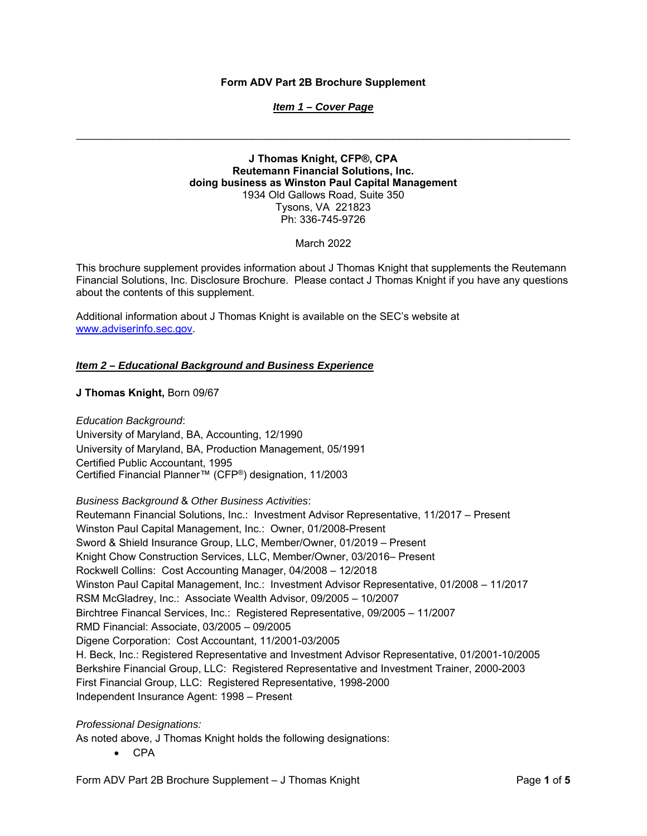#### **Form ADV Part 2B Brochure Supplement**

#### *Item 1 – Cover Page*

**J Thomas Knight, CFP®, CPA Reutemann Financial Solutions, Inc. doing business as Winston Paul Capital Management**  1934 Old Gallows Road, Suite 350 Tysons, VA 221823 Ph: 336-745-9726

#### March 2022

This brochure supplement provides information about J Thomas Knight that supplements the Reutemann Financial Solutions, Inc. Disclosure Brochure. Please contact J Thomas Knight if you have any questions about the contents of this supplement.

Additional information about J Thomas Knight is available on the SEC's website at www.adviserinfo.sec.gov.

# *Item 2 – Educational Background and Business Experience*

#### **J Thomas Knight,** Born 09/67

*Education Background*: University of Maryland, BA, Accounting, 12/1990 University of Maryland, BA, Production Management, 05/1991 Certified Public Accountant, 1995 Certified Financial Planner™ (CFP®) designation, 11/2003

*Business Background* & *Other Business Activities*: Reutemann Financial Solutions, Inc.: Investment Advisor Representative, 11/2017 – Present Winston Paul Capital Management, Inc.: Owner, 01/2008-Present Sword & Shield Insurance Group, LLC, Member/Owner, 01/2019 – Present Knight Chow Construction Services, LLC, Member/Owner, 03/2016– Present Rockwell Collins: Cost Accounting Manager, 04/2008 – 12/2018 Winston Paul Capital Management, Inc.: Investment Advisor Representative, 01/2008 – 11/2017 RSM McGladrey, Inc.: Associate Wealth Advisor, 09/2005 – 10/2007 Birchtree Financal Services, Inc.: Registered Representative, 09/2005 – 11/2007 RMD Financial: Associate, 03/2005 – 09/2005 Digene Corporation: Cost Accountant, 11/2001-03/2005 H. Beck, Inc.: Registered Representative and Investment Advisor Representative, 01/2001-10/2005 Berkshire Financial Group, LLC: Registered Representative and Investment Trainer, 2000-2003 First Financial Group, LLC: Registered Representative, 1998-2000 Independent Insurance Agent: 1998 – Present

#### *Professional Designations:*

As noted above, J Thomas Knight holds the following designations:

 $\bullet$  CPA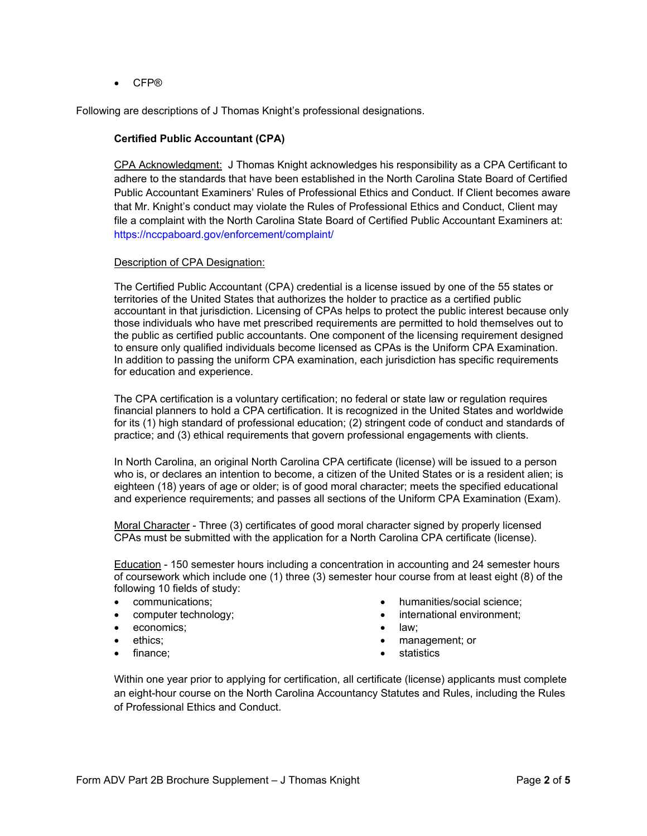● CFP®

Following are descriptions of J Thomas Knight's professional designations.

# **Certified Public Accountant (CPA)**

CPA Acknowledgment: J Thomas Knight acknowledges his responsibility as a CPA Certificant to adhere to the standards that have been established in the North Carolina State Board of Certified Public Accountant Examiners' Rules of Professional Ethics and Conduct. If Client becomes aware that Mr. Knight's conduct may violate the Rules of Professional Ethics and Conduct, Client may file a complaint with the North Carolina State Board of Certified Public Accountant Examiners at: https://nccpaboard.gov/enforcement/complaint/

#### Description of CPA Designation:

The Certified Public Accountant (CPA) credential is a license issued by one of the 55 states or territories of the United States that authorizes the holder to practice as a certified public accountant in that jurisdiction. Licensing of CPAs helps to protect the public interest because only those individuals who have met prescribed requirements are permitted to hold themselves out to the public as certified public accountants. One component of the licensing requirement designed to ensure only qualified individuals become licensed as CPAs is the Uniform CPA Examination. In addition to passing the uniform CPA examination, each jurisdiction has specific requirements for education and experience.

The CPA certification is a voluntary certification; no federal or state law or regulation requires financial planners to hold a CPA certification. It is recognized in the United States and worldwide for its (1) high standard of professional education; (2) stringent code of conduct and standards of practice; and (3) ethical requirements that govern professional engagements with clients.

In North Carolina, an original North Carolina CPA certificate (license) will be issued to a person who is, or declares an intention to become, a citizen of the United States or is a resident alien; is eighteen (18) years of age or older; is of good moral character; meets the specified educational and experience requirements; and passes all sections of the Uniform CPA Examination (Exam).

Moral Character - Three (3) certificates of good moral character signed by properly licensed CPAs must be submitted with the application for a North Carolina CPA certificate (license).

Education - 150 semester hours including a concentration in accounting and 24 semester hours of coursework which include one (1) three (3) semester hour course from at least eight (8) of the following 10 fields of study:

- communications;
- computer technology;
- economics;
- ethics;
- finance;
- humanities/social science;
- international environment;
- law;
- management; or
- statistics

Within one year prior to applying for certification, all certificate (license) applicants must complete an eight-hour course on the North Carolina Accountancy Statutes and Rules, including the Rules of Professional Ethics and Conduct.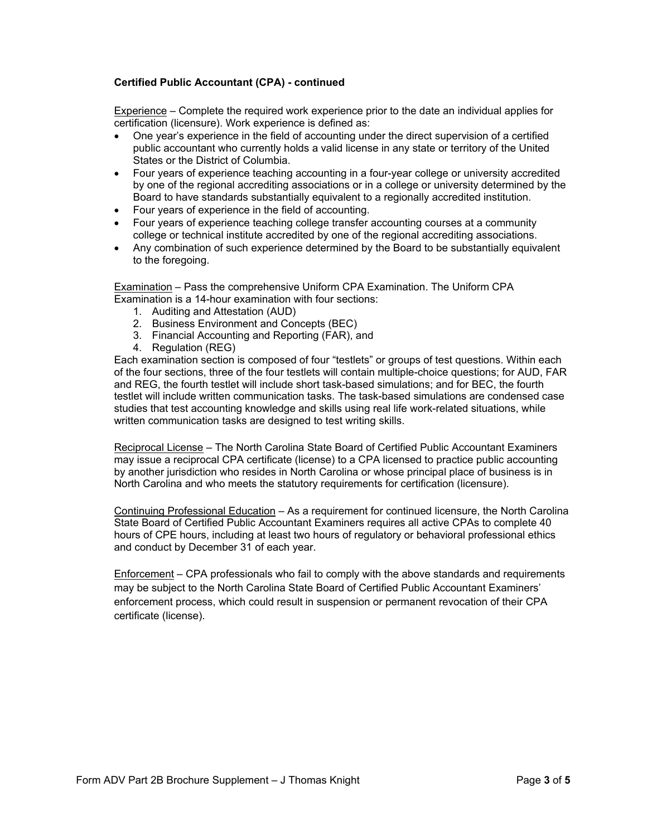# **Certified Public Accountant (CPA) - continued**

Experience – Complete the required work experience prior to the date an individual applies for certification (licensure). Work experience is defined as:

- One year's experience in the field of accounting under the direct supervision of a certified public accountant who currently holds a valid license in any state or territory of the United States or the District of Columbia.
- Four years of experience teaching accounting in a four-year college or university accredited by one of the regional accrediting associations or in a college or university determined by the Board to have standards substantially equivalent to a regionally accredited institution.
- Four years of experience in the field of accounting.
- Four years of experience teaching college transfer accounting courses at a community college or technical institute accredited by one of the regional accrediting associations.
- Any combination of such experience determined by the Board to be substantially equivalent to the foregoing.

Examination – Pass the comprehensive Uniform CPA Examination. The Uniform CPA Examination is a 14-hour examination with four sections:

- 1. Auditing and Attestation (AUD)
- 2. Business Environment and Concepts (BEC)
- 3. Financial Accounting and Reporting (FAR), and
- 4. Regulation (REG)

Each examination section is composed of four "testlets" or groups of test questions. Within each of the four sections, three of the four testlets will contain multiple-choice questions; for AUD, FAR and REG, the fourth testlet will include short task-based simulations; and for BEC, the fourth testlet will include written communication tasks. The task-based simulations are condensed case studies that test accounting knowledge and skills using real life work-related situations, while written communication tasks are designed to test writing skills.

Reciprocal License – The North Carolina State Board of Certified Public Accountant Examiners may issue a reciprocal CPA certificate (license) to a CPA licensed to practice public accounting by another jurisdiction who resides in North Carolina or whose principal place of business is in North Carolina and who meets the statutory requirements for certification (licensure).

Continuing Professional Education – As a requirement for continued licensure, the North Carolina State Board of Certified Public Accountant Examiners requires all active CPAs to complete 40 hours of CPE hours, including at least two hours of regulatory or behavioral professional ethics and conduct by December 31 of each year.

Enforcement – CPA professionals who fail to comply with the above standards and requirements may be subject to the North Carolina State Board of Certified Public Accountant Examiners' enforcement process, which could result in suspension or permanent revocation of their CPA certificate (license).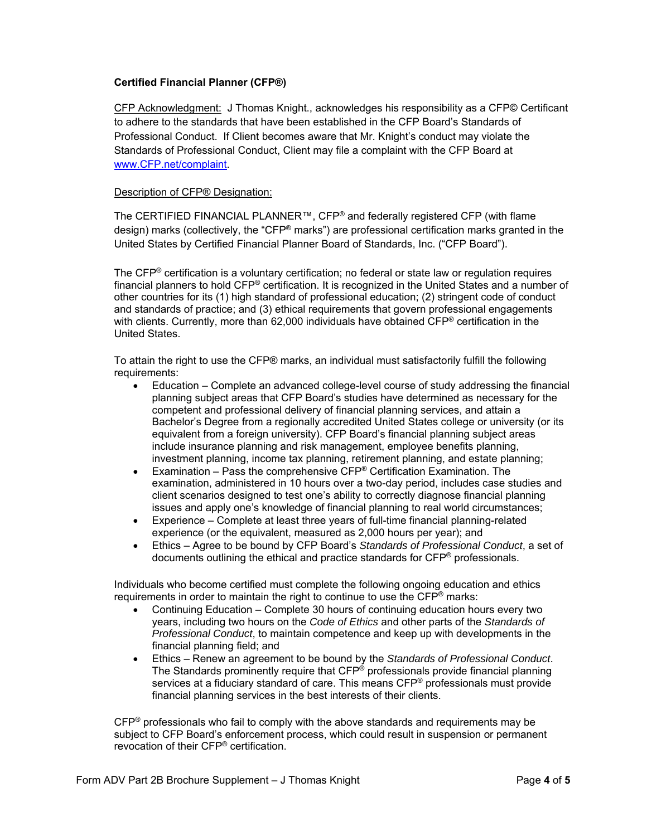# **Certified Financial Planner (CFP®)**

CFP Acknowledgment: J Thomas Knight., acknowledges his responsibility as a CFP© Certificant to adhere to the standards that have been established in the CFP Board's Standards of Professional Conduct. If Client becomes aware that Mr. Knight's conduct may violate the Standards of Professional Conduct, Client may file a complaint with the CFP Board at www.CFP.net/complaint.

#### Description of CFP® Designation:

The CERTIFIED FINANCIAL PLANNER™, CFP<sup>®</sup> and federally registered CFP (with flame design) marks (collectively, the "CFP® marks") are professional certification marks granted in the United States by Certified Financial Planner Board of Standards, Inc. ("CFP Board").

The  $CFP<sup>®</sup>$  certification is a voluntary certification; no federal or state law or regulation requires financial planners to hold CFP® certification. It is recognized in the United States and a number of other countries for its (1) high standard of professional education; (2) stringent code of conduct and standards of practice; and (3) ethical requirements that govern professional engagements with clients. Currently, more than 62,000 individuals have obtained CFP<sup>®</sup> certification in the United States.

To attain the right to use the CFP® marks, an individual must satisfactorily fulfill the following requirements:

- Education Complete an advanced college-level course of study addressing the financial planning subject areas that CFP Board's studies have determined as necessary for the competent and professional delivery of financial planning services, and attain a Bachelor's Degree from a regionally accredited United States college or university (or its equivalent from a foreign university). CFP Board's financial planning subject areas include insurance planning and risk management, employee benefits planning, investment planning, income tax planning, retirement planning, and estate planning;
- Examination Pass the comprehensive  $CFP^{\circledast}$  Certification Examination. The examination, administered in 10 hours over a two-day period, includes case studies and client scenarios designed to test one's ability to correctly diagnose financial planning issues and apply one's knowledge of financial planning to real world circumstances;
- Experience Complete at least three years of full-time financial planning-related experience (or the equivalent, measured as 2,000 hours per year); and
- Ethics Agree to be bound by CFP Board's *Standards of Professional Conduct*, a set of documents outlining the ethical and practice standards for CFP® professionals.

Individuals who become certified must complete the following ongoing education and ethics requirements in order to maintain the right to continue to use the CFP® marks:

- Continuing Education Complete 30 hours of continuing education hours every two years, including two hours on the *Code of Ethics* and other parts of the *Standards of Professional Conduct*, to maintain competence and keep up with developments in the financial planning field; and
- Ethics Renew an agreement to be bound by the *Standards of Professional Conduct*. The Standards prominently require that CFP® professionals provide financial planning services at a fiduciary standard of care. This means CFP® professionals must provide financial planning services in the best interests of their clients.

 $CFP<sup>®</sup>$  professionals who fail to comply with the above standards and requirements may be subject to CFP Board's enforcement process, which could result in suspension or permanent revocation of their CFP® certification.